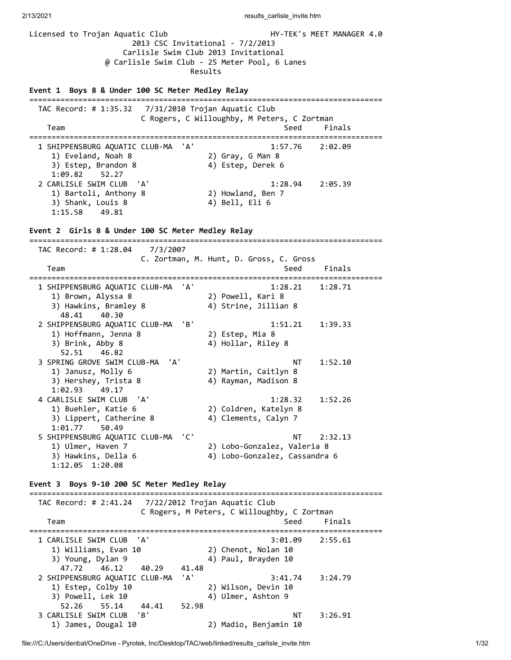Licensed to Trojan Aquatic Club HY-TEK's MEET MANAGER 4.0 2013 CSC Invitational - 7/2/2013 Carlisle Swim Club 2013 Invitational @ Carlisle Swim Club - 25 Meter Pool, 6 Lanes Results **Event 1 Boys 8 & Under 100 SC Meter Medley Relay** =============================================================================== TAC Record: # 1:35.32 7/31/2010 Trojan Aquatic Club C Rogers, C Willoughby, M Peters, C Zortman Team Seed Finals =============================================================================== 1 SHIPPENSBURG AQUATIC CLUB-MA 'A' 1) Eveland, Noah 8 2) Gray, G Man 8 3) Estep, Brandon 8 4) Estep, Derek 6 1, Lytesne, Parandon 8<br>3) Estep, Brandon 8<br>1:09.82 52.27<br>2 CARLISLE SWIM CLUB 'A' 2 CARLISLE SWIM CLUB 'A' 1:28.94 2:05.39 1) Bartoli, Anthony 8 2) Howland, Ben 7 3) Shank, Louis 8 (4) Bell, Eli 6 1:15.58 49.81 **Event 2 Girls 8 & Under 100 SC Meter Medley Relay** =============================================================================== TAC Record: # 1:28.04 7/3/2007 C. Zortman, M. Hunt, D. Gross, C. Gross Team Seed Finals =============================================================================== 1 SHIPPENSBURG AQUATIC CLUB-MA 'A' 1:28.21 1:28.71 1) Brown, Alyssa 8 2) Powell, Kari 8 3) Hawkins, Bramley 8 4) Strine, Jillian 8 48.41 40.30 2 SHIPPENSBURG AQUATIC CLUB-MA 'B' 1:51.21 1:39.33 1) Hoffmann, Jenna 8 2) Estep, Mia 8 3) Brink, Abby 8 4) Hollar, Riley 8 52.51 46.82 3 SPRING GROVE SWIM CLUB-MA 'A' NT 1:52.10 1) Janusz, Molly 6 2) Martin, Caitlyn 8 3) Hershey, Trista 8 4) Rayman, Madison 8 1:02.93 49.17 4 CARLISLE SWIM CLUB 'A' 1:28.32 1:52.26 1) Buehler, Katie 6 2) Coldren, Katelyn 8 3) Lippert, Catherine 8 4) Clements, Calyn 7 1:01.77 50.49 5 SHIPPENSBURG AQUATIC CLUB-MA 'C' NT 2:32.13 1) Ulmer, Haven 7 (2) Lobo-Gonzalez, Valeria 8<br>
1) Ulmer, Haven 7 (2) Lobo-Gonzalez, Cassandra<br>
3) Hawkins, Della 6 (4) Lobo-Gonzalez, Cassandra 4) Lobo-Gonzalez, Cassandra 6 1:12.05 1:20.08 **Event 3 Boys 9-10 200 SC Meter Medley Relay** =============================================================================== TAC Record: # 2:41.24 7/22/2012 Trojan Aquatic Club C Rogers, M Peters, C Willoughby, C Zortman Team Seed Finals =============================================================================== 1 CARLISLE SWIM CLUB 'A' 3:01.09 2:55.61 1) Williams, Evan 10 2) Chenot, Nolan 10 3) Young, Dylan 9 4) Paul, Brayden 10 47.72 46.12 40.29 41.48 2 SHIPPENSBURG AQUATIC CLUB-MA 'A' 3:41.74 3:24.79 1) Estep, Colby 10 2) Wilson, Devin 10 3) Powell, Lek 10 4) Ulmer, Ashton 9  $52.26$  55.14 44.41 52.98 3 CARLISLE SWIM CLUB 'B' NT 3:26.91 1) James, Dougal 10 2) Madio, Benjamin 10

2/13/2021 **results** carlisle invite.htm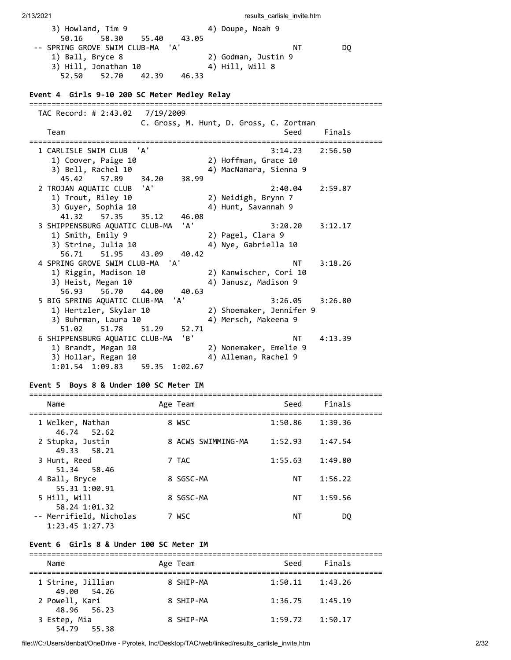3) Howland, Tim 9 4) Doupe, Noah 9 50.16 58.30 55.40 43.05 -- SPRING GROVE SWIM CLUB-MA 'A' NT DQ 1) Ball, Bryce 8 2) Godman, Justin 9 3) Hill, Jonathan 10 4) Hill, Will 8 52.50 52.70 42.39 46.33 **Event 4 Girls 9-10 200 SC Meter Medley Relay** =============================================================================== TAC Record: # 2:43.02 7/19/2009 C. Gross, M. Hunt, D. Gross, C. Zortman Team Seed Finals =============================================================================== 1 CARLISLE SWIM CLUB 'A' 3:14.23 2:56.50 1) Coover, Paige 10 2) Hoffman, Grace 10 3) Bell, Rachel 10 4) MacNamara, Sienna 9 45.42 57.89 34.20 38.99 2 TROJAN AQUATIC CLUB 'A' 2:40.04 2:59.87 1) Trout, Riley 10 2) Neidigh, Brynn 7 3) Guyer, Sophia 10 4) Hunt, Savannah 9 41.32 57.35 35.12 46.08 3 SHIPPENSBURG AQUATIC CLUB-MA 'A' 3:20.20 3:12.17 1) Smith, Emily 9 2) Pagel, Clara 9 3) Strine, Julia 10 4) Nye, Gabriella 10 56.71 51.95 43.09 40.42 4 SPRING GROVE SWIM CLUB-MA 'A' NT 3:18.26 1) Riggin, Madison 10 2) Kanwischer, Cori 10 3) Heist, Megan 10 (4) Janusz, Madison 9 56.93 56.70 44.00 40.63 5 BIG SPRING AQUATIC CLUB-MA 'A' 3:26.05 3:26.80 1) Hertzler, Skylar 10 2) Shoemaker, Jennifer 9 3) Buhrman, Laura 10 4) Mersch, Makeena 9 51.02 51.78 51.29 52.71 6 SHIPPENSBURG AQUATIC CLUB-MA 'B' NT 4:13.39 1) Brandt, Megan 10 2) Nonemaker, Emelie 9 3) Hollar, Regan 10 4) Alleman, Rachel 9 1:01.54 1:09.83 59.35 1:02.67

2/13/2021 **results** carlisle invite.htm

### **Event 5 Boys 8 & Under 100 SC Meter IM**

| Name                                           | Age Team           | Seed    | Finals  |
|------------------------------------------------|--------------------|---------|---------|
| 1 Welker, Nathan<br>46.74 52.62                | 8 WSC              | 1:50.86 | 1:39.36 |
| 2 Stupka, Justin<br>49.33 58.21                | 8 ACWS SWIMMING-MA | 1:52.93 | 1:47.54 |
| 3 Hunt, Reed<br>51.34 58.46                    | 7 TAC              | 1:55.63 | 1:49.80 |
| 4 Ball, Bryce<br>55.31 1:00.91                 | 8 SGSC-MA          | NΤ      | 1:56.22 |
| 5 Hill, Will<br>58.24 1:01.32                  | 8 SGSC-MA          | NΤ      | 1:59.56 |
| -- Merrifield, Nicholas<br>$1:23.45$ $1:27.73$ | 7 WSC              | ΝT      | DO      |

#### **Event 6 Girls 8 & Under 100 SC Meter IM**

| Name                                | Age Team  | Seed    | Finals  |  |  |  |
|-------------------------------------|-----------|---------|---------|--|--|--|
| 1 Strine, Jillian<br>49.00<br>54.26 | 8 SHIP-MA | 1:50.11 | 1:43.26 |  |  |  |
| 2 Powell, Kari<br>48.96 56.23       | 8 SHTP-MA | 1:36.75 | 1:45.19 |  |  |  |
| 3 Estep, Mia<br>54.79 55.38         | 8 SHIP-MA | 1:59.72 | 1:50.17 |  |  |  |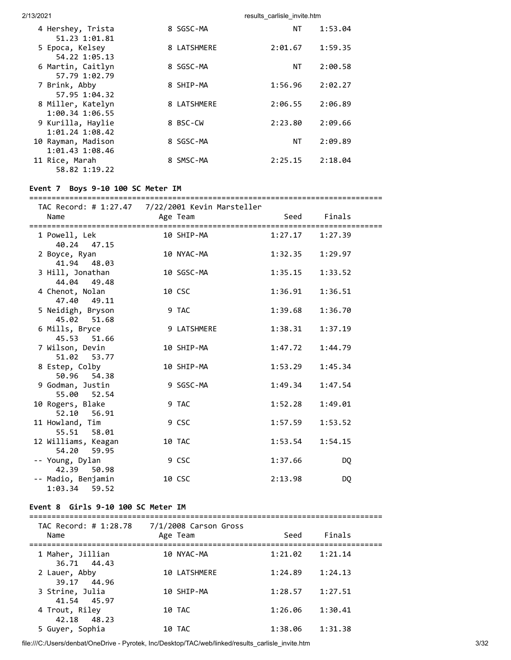| 4 Hershey, Trista<br>51.23 1:01.81                 | 8 SGSC-MA   | NΤ        | 1:53.04 |
|----------------------------------------------------|-------------|-----------|---------|
| 5 Epoca, Kelsey<br>54.22 1:05.13                   | 8 LATSHMERE | 2:01.67   | 1:59.35 |
| 6 Martin, Caitlyn<br>57.79 1:02.79                 | 8 SGSC-MA   | <b>NT</b> | 2:00.58 |
| 7 Brink, Abby<br>57.95 1:04.32                     | 8 SHIP-MA   | 1:56.96   | 2:02.27 |
| 8 Miller, Katelyn<br>1:00.34 1:06.55               | 8 LATSHMERE | 2:06.55   | 2:06.89 |
| 9 Kurilla, Haylie<br>$1:01.24$ $1:08.42$           | 8 BSC-CW    | 2:23.80   | 2:09.66 |
| 10 Rayman, Madison                                 | 8 SGSC-MA   | NΤ        | 2:09.89 |
| 1:01.43 1:08.46<br>11 Rice, Marah<br>58.82 1:19.22 | 8 SMSC-MA   | 2:25.15   | 2:18.04 |

### **Event 7 Boys 9-10 100 SC Meter IM**

#### =============================================================================== 7/22/2001 Kevin Manstell

| Name                                  | Age Team    |         | Seed Finals |
|---------------------------------------|-------------|---------|-------------|
| 1 Powell, Lek<br>40.24 47.15          | 10 SHIP-MA  | 1:27.17 | 1:27.39     |
| 2 Boyce, Ryan<br>41.94 48.03          | 10 NYAC-MA  | 1:32.35 | 1:29.97     |
| 3 Hill, Jonathan<br>44.04 49.48       | 10 SGSC-MA  | 1:35.15 | 1:33.52     |
| 4 Chenot, Nolan<br>47.40 49.11        | 10 CSC      | 1:36.91 | 1:36.51     |
| 5 Neidigh, Bryson<br>45.02 51.68      | 9 TAC       | 1:39.68 | 1:36.70     |
| 6 Mills, Bryce<br>45.53 51.66         | 9 LATSHMERE | 1:38.31 | 1:37.19     |
| 7 Wilson, Devin<br>51.02 53.77        | 10 SHIP-MA  | 1:47.72 | 1:44.79     |
| 8 Estep, Colby<br>50.96 54.38         | 10 SHIP-MA  | 1:53.29 | 1:45.34     |
| 9 Godman, Justin<br>55.00 52.54       | 9 SGSC-MA   | 1:49.34 | 1:47.54     |
| 10 Rogers, Blake<br>52.10 56.91       | 9 TAC       | 1:52.28 | 1:49.01     |
| 11 Howland, Tim<br>55.51 58.01        | 9 CSC       | 1:57.59 | 1:53.52     |
| 12 Williams, Keagan<br>54.20 59.95    | 10 TAC      | 1:53.54 | 1:54.15     |
| -- Young, Dylan<br>42.39 50.98        | 9 CSC       | 1:37.66 | <b>DQ</b>   |
| -- Madio, Benjamin<br>$1:03.34$ 59.52 | 10 CSC      | 2:13.98 | DQ          |

#### **Event 8 Girls 9-10 100 SC Meter IM**

| TAC Record: # 1:28.78<br>Name   | 7/1/2008 Carson Gross<br>Age Team | Seed    | Finals  |  |
|---------------------------------|-----------------------------------|---------|---------|--|
| 1 Maher, Jillian<br>36.71 44.43 | 10 NYAC-MA                        | 1:21.02 | 1:21.14 |  |
| 2 Lauer, Abby<br>39.17 44.96    | <b>10 LATSHMERE</b>               | 1:24.89 | 1:24.13 |  |
| 3 Strine, Julia<br>41.54 45.97  | 10 SHIP-MA                        | 1:28.57 | 1:27.51 |  |
| 4 Trout, Riley<br>42.18 48.23   | 10 TAC                            | 1:26.06 | 1:30.41 |  |
| 5 Guyer, Sophia                 | 10 TAC                            | 1:38.06 | 1:31.38 |  |

file:///C:/Users/denbat/OneDrive - Pyrotek, Inc/Desktop/TAC/web/linked/results\_carlisle\_invite.htm 3/32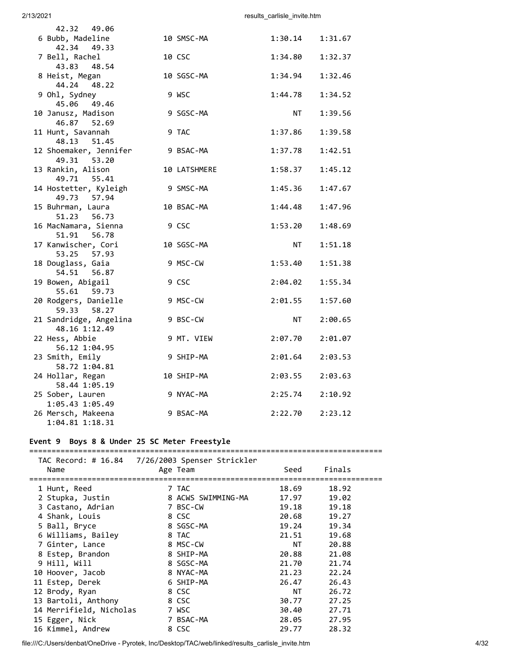| 42.32 49.06<br>6 Bubb, Madeline                          | 10 SMSC-MA   | 1:30.14   | 1:31.67 |
|----------------------------------------------------------|--------------|-----------|---------|
| 42.34<br>49.33                                           |              |           |         |
| 7 Bell, Rachel<br>43.83<br>48.54                         | 10 CSC       | 1:34.80   | 1:32.37 |
| 8 Heist, Megan<br>44.24 48.22                            | 10 SGSC-MA   | 1:34.94   | 1:32.46 |
| 9 Ohl, Sydney<br>45.06 49.46                             | 9 WSC        | 1:44.78   | 1:34.52 |
| 10 Janusz, Madison<br>46.87 52.69                        | 9 SGSC-MA    | NT        | 1:39.56 |
| 11 Hunt, Savannah<br>48.13 51.45                         | 9 TAC        | 1:37.86   | 1:39.58 |
| 12 Shoemaker, Jennifer<br>49.31 53.20                    | 9 BSAC-MA    | 1:37.78   | 1:42.51 |
| 13 Rankin, Alison<br>49.71 55.41                         | 10 LATSHMERE | 1:58.37   | 1:45.12 |
| 14 Hostetter, Kyleigh<br>49.73 57.94                     | 9 SMSC-MA    | 1:45.36   | 1:47.67 |
| 15 Buhrman, Laura<br>51.23 56.73                         | 10 BSAC-MA   | 1:44.48   | 1:47.96 |
| 16 MacNamara, Sienna<br>51.91 56.78                      | 9 CSC        | 1:53.20   | 1:48.69 |
| 17 Kanwischer, Cori<br>53.25 57.93                       | 10 SGSC-MA   | NT        | 1:51.18 |
| 18 Douglass, Gaia<br>54.51<br>56.87                      | 9 MSC-CW     | 1:53.40   | 1:51.38 |
| 19 Bowen, Abigail<br>55.61 59.73                         | 9 CSC        | 2:04.02   | 1:55.34 |
| 20 Rodgers, Danielle<br>59.33 58.27                      | 9 MSC-CW     | 2:01.55   | 1:57.60 |
| 21 Sandridge, Angelina<br>48.16 1:12.49                  | 9 BSC-CW     | <b>NT</b> | 2:00.65 |
| 22 Hess, Abbie<br>56.12 1:04.95                          | 9 MT. VIEW   | 2:07.70   | 2:01.07 |
| 23 Smith, Emily<br>58.72 1:04.81                         | 9 SHIP-MA    | 2:01.64   | 2:03.53 |
| 24 Hollar, Regan<br>58.44 1:05.19                        | 10 SHIP-MA   | 2:03.55   | 2:03.63 |
| 25 Sober, Lauren                                         | 9 NYAC-MA    | 2:25.74   | 2:10.92 |
| 1:05.43 1:05.49<br>26 Mersch, Makeena<br>1:04.81 1:18.31 | 9 BSAC-MA    | 2:22.70   | 2:23.12 |

# **Event 9 Boys 8 & Under 25 SC Meter Freestyle**

| Name                    |  | Age Team           | Seed  | Finals |
|-------------------------|--|--------------------|-------|--------|
|                         |  |                    |       |        |
| 1 Hunt, Reed            |  | 7 TAC              | 18.69 | 18.92  |
| 2 Stupka, Justin        |  | 8 ACWS SWIMMING-MA | 17.97 | 19.02  |
| 3 Castano, Adrian       |  | 7 BSC-CW           | 19.18 | 19.18  |
| 4 Shank, Louis          |  | 8 CSC              | 20.68 | 19.27  |
| 5 Ball, Bryce           |  | 8 SGSC-MA          | 19.24 | 19.34  |
| 6 Williams, Bailey      |  | 8 TAC              | 21.51 | 19.68  |
| 7 Ginter, Lance         |  | 8 MSC-CW           | NT    | 20.88  |
| 8 Estep, Brandon        |  | 8 SHIP-MA          | 20.88 | 21.08  |
| 9 Hill, Will            |  | 8 SGSC-MA          | 21.70 | 21.74  |
| 10 Hoover, Jacob        |  | 8 NYAC-MA          | 21.23 | 22.24  |
| 11 Estep, Derek         |  | 6 SHIP-MA          | 26.47 | 26.43  |
| 12 Brody, Ryan          |  | 8 CSC              | NT.   | 26.72  |
| 13 Bartoli, Anthony     |  | 8 CSC              | 30.77 | 27.25  |
| 14 Merrifield, Nicholas |  | 7 WSC              | 30.40 | 27.71  |
| 15 Egger, Nick          |  | 7 BSAC-MA          | 28.05 | 27.95  |
| 16 Kimmel, Andrew       |  | 8 CSC              | 29.77 | 28.32  |

file:///C:/Users/denbat/OneDrive - Pyrotek, Inc/Desktop/TAC/web/linked/results\_carlisle\_invite.htm 4/32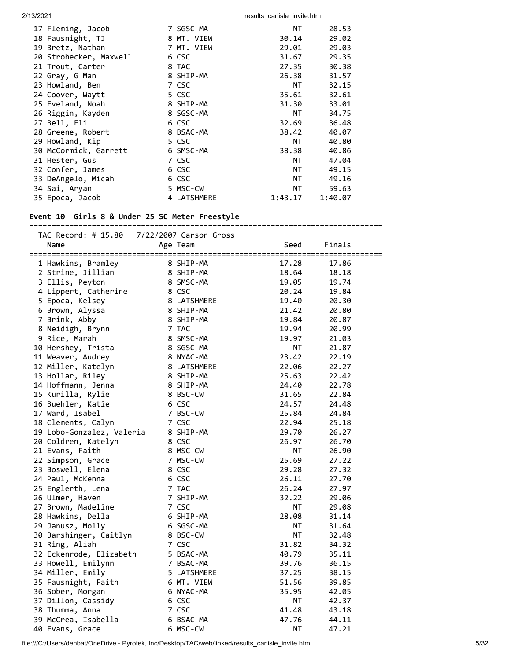| 17 Fleming, Jacob      | 7 SGSC-MA   | <b>NT</b> | 28.53   |
|------------------------|-------------|-----------|---------|
| 18 Fausnight, TJ       | 8 MT. VIEW  | 30.14     | 29.02   |
| 19 Bretz, Nathan       | 7 MT. VIEW  | 29.01     | 29.03   |
| 20 Strohecker, Maxwell | 6 CSC       | 31.67     | 29.35   |
| 21 Trout, Carter       | 8 TAC       | 27.35     | 30.38   |
| 22 Gray, G Man         | 8 SHIP-MA   | 26.38     | 31.57   |
| 23 Howland, Ben        | 7 CSC       | NT        | 32.15   |
| 24 Coover, Waytt       | 5 CSC       | 35.61     | 32.61   |
| 25 Eveland, Noah       | 8 SHIP-MA   | 31.30     | 33.01   |
| 26 Riggin, Kayden      | 8 SGSC-MA   | NT        | 34.75   |
| 27 Bell, Eli           | 6 CSC       | 32.69     | 36.48   |
| 28 Greene, Robert      | 8 BSAC-MA   | 38.42     | 40.07   |
| 29 Howland, Kip        | 5 CSC       | NT        | 40.80   |
| 30 McCormick, Garrett  | 6 SMSC-MA   | 38.38     | 40.86   |
| 31 Hester, Gus         | 7 CSC       | NT.       | 47.04   |
| 32 Confer, James       | 6 CSC       | NT.       | 49.15   |
| 33 DeAngelo, Micah     | 6 CSC       | NT        | 49.16   |
| 34 Sai, Aryan          | 5 MSC-CW    | NT        | 59.63   |
| 35 Epoca, Jacob        | 4 LATSHMERE | 1:43.17   | 1:40.07 |

#### **Event 10 Girls 8 & Under 25 SC Meter Freestyle**

=============================================================================== TAC Record: # 15.80 7/22/2007 Carson Gross Name Age Team Seed Finals =============================================================================== 1 Hawkins, Bramley 8 SHIP-MA 17.28 17.86 2 Strine, Jillian 8 SHIP-MA 18.64 18.18 3 Ellis, Peyton 8 SMSC-MA 19.05 19.74 4 Lippert, Catherine 8 CSC 20.24 19.84 5 Epoca, Kelsey 8 LATSHMERE 19.40 20.30 6 Brown, Alyssa 8 SHIP-MA 21.42 20.80 7 Brink, Abby 8 SHIP-MA 19.84 20.87 8 Neidigh, Brynn 7 TAC 19.94 20.99 9 Rice, Marah 8 SMSC-MA 19.97 21.03 10 Hershey, Trista 8 SGSC-MA NT 21.87 11 Weaver, Audrey 8 NYAC-MA 23.42 22.19 12 Miller, Katelyn 8 LATSHMERE 22.06 22.27 13 Hollar, Riley 8 SHIP-MA 25.63 22.42 14 Hoffmann, Jenna 8 SHIP-MA 24.40 22.78 15 Kurilla, Rylie 8 BSC-CW 31.65 22.84 16 Buehler, Katie 6 CSC 24.57 24.48 17 Ward, Isabel 7 BSC-CW 25.84 24.84 18 Clements, Calyn 7 CSC 22.94 25.18 19 Lobo-Gonzalez, Valeria 8 SHIP-MA 29.70 26.27 20 Coldren, Katelyn 8 CSC 26.97 26.70 21 Evans, Faith 8 MSC-CW NT 26.90 22 Simpson, Grace 7 MSC-CW 25.69 27.22 23 Boswell, Elena 8 CSC 29.28 27.32 24 Paul, McKenna 6 CSC 26.11 27.70 25 Englerth, Lena 7 TAC 26.24 27.97 26 Ulmer, Haven 7 SHIP-MA 32.22 29.06 27 Brown, Madeline 7 CSC NT 29.08 28 Hawkins, Della 6 SHIP-MA 28.08 31.14 29 Janusz, Molly 6 SGSC-MA NT 31.64 30 Barshinger, Caitlyn 8 BSC-CW NT 32.48 31 Ring, Aliah 7 CSC 31.82 34.32 32 Eckenrode, Elizabeth 5 BSAC-MA 40.79 35.11 33 Howell, Emilynn 7 BSAC-MA 39.76 36.15 34 Miller, Emily 5 LATSHMERE 37.25 38.15 35 Fausnight, Faith 6 MT. VIEW 51.56 39.85 36 Sober, Morgan 6 NYAC-MA 35.95 42.05 37 Dillon, Cassidy 6 CSC NT 42.37 38 Thumma, Anna 7 CSC 41.48 43.18 39 McCrea, Isabella 6 BSAC-MA 47.76 44.11 40 Evans, Grace 6 MSC-CW NT 47.21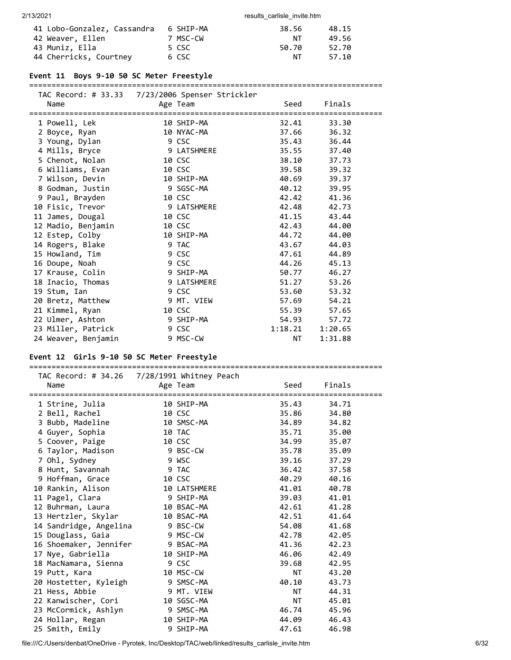| 41 Lobo-Gonzalez, Cassandra | 6 SHIP-MA | 38.56 | 48.15 |
|-----------------------------|-----------|-------|-------|
| 42 Weaver, Ellen            | 7 MSC-CW  | NT.   | 49.56 |
| 43 Muniz, Ella              | 5 CSC     | 50.70 | 52.70 |
| 44 Cherricks, Courtney      | 6 CSC     | NT    | 57.10 |

### **Event 11 Boys 9-10 50 SC Meter Freestyle**

#### ===============================================================================

| Name                | Age Team    |             | Seed    | Finals  |  |
|---------------------|-------------|-------------|---------|---------|--|
| 1 Powell, Lek       | 10 SHIP-MA  |             | 32.41   | 33.30   |  |
| 2 Boyce, Ryan       | 10 NYAC-MA  |             | 37.66   | 36.32   |  |
| 3 Young, Dylan      | 9 CSC       |             | 35.43   | 36.44   |  |
| 4 Mills, Bryce      |             | 9 LATSHMERE | 35.55   | 37.40   |  |
| 5 Chenot, Nolan     | 10 CSC      |             | 38.10   | 37.73   |  |
| 6 Williams, Evan    | 10 CSC      |             | 39.58   | 39.32   |  |
| 7 Wilson, Devin     | 10 SHIP-MA  |             | 40.69   | 39.37   |  |
| 8 Godman, Justin    | 9 SGSC-MA   |             | 40.12   | 39.95   |  |
| 9 Paul, Brayden     | 10 CSC      |             | 42.42   | 41.36   |  |
| 10 Fisic, Trevor    | 9 LATSHMERE |             | 42.48   | 42.73   |  |
| 11 James, Dougal    | 10 CSC      |             | 41.15   | 43.44   |  |
| 12 Madio, Benjamin  | 10 CSC      |             | 42.43   | 44.00   |  |
| 12 Estep, Colby     | 10 SHIP-MA  |             | 44.72   | 44.00   |  |
| 14 Rogers, Blake    | 9 TAC       |             | 43.67   | 44.03   |  |
| 15 Howland, Tim     | 9 CSC       |             | 47.61   | 44.89   |  |
| 16 Doupe, Noah      | 9 CSC       |             | 44.26   | 45.13   |  |
| 17 Krause, Colin    | 9 SHIP-MA   |             | 50.77   | 46.27   |  |
| 18 Inacio, Thomas   | 9 LATSHMERE |             | 51.27   | 53.26   |  |
| 19 Stum, Ian        | 9 CSC       |             | 53.60   | 53.32   |  |
| 20 Bretz, Matthew   | 9 MT. VIEW  |             | 57.69   | 54.21   |  |
| 21 Kimmel, Ryan     | 10 CSC      |             | 55.39   | 57.65   |  |
| 22 Ulmer, Ashton    | 9 SHIP-MA   |             | 54.93   | 57.72   |  |
| 23 Miller, Patrick  | 9 CSC       |             | 1:18.21 | 1:20.65 |  |
| 24 Weaver, Benjamin | 9 MSC-CW    |             | NT 1    | 1:31.88 |  |

## **Event 12 Girls 9-10 50 SC Meter Freestyle**

===============================================================================

| TAC Record: # 34.26   7/28/1991 Whitney Peach |              |           |        |  |
|-----------------------------------------------|--------------|-----------|--------|--|
| Name                                          | Age Team     | Seed      | Finals |  |
|                                               |              |           |        |  |
| 1 Strine, Julia                               | 10 SHIP-MA   | 35.43     | 34.71  |  |
| 2 Bell, Rachel                                | 10 CSC       | 35.86     | 34.80  |  |
| 3 Bubb, Madeline                              | 10 SMSC-MA   | 34.89     | 34.82  |  |
| 4 Guyer, Sophia                               | 10 TAC       | 35.71     | 35.00  |  |
| 5 Coover, Paige                               | 10 CSC       | 34.99     | 35.07  |  |
| 6 Taylor, Madison                             | 9 BSC-CW     | 35.78     | 35.09  |  |
| 7 Ohl, Sydney                                 | 9 WSC        | 39.16     | 37.29  |  |
| 8 Hunt, Savannah                              | 9 TAC        | 36.42     | 37.58  |  |
| 9 Hoffman, Grace                              | 10 CSC       | 40.29     | 40.16  |  |
| 10 Rankin, Alison                             | 10 LATSHMERE | 41.01     | 40.78  |  |
| 11 Pagel, Clara                               | 9 SHIP-MA    | 39.03     | 41.01  |  |
| 12 Buhrman, Laura                             | 10 BSAC-MA   | 42.61     | 41.28  |  |
| 13 Hertzler, Skylar                           | 10 BSAC-MA   | 42.51     | 41.64  |  |
| 14 Sandridge, Angelina                        | 9 BSC-CW     | 54.08     | 41.68  |  |
| 15 Douglass, Gaia                             | 9 MSC-CW     | 42.78     | 42.05  |  |
| 16 Shoemaker, Jennifer 9 BSAC-MA              |              | 41.36     | 42.23  |  |
| 17 Nye, Gabriella                             | 10 SHIP-MA   | 46.06     | 42.49  |  |
| 18 MacNamara, Sienna                          | 9 CSC        | 39.68     | 42.95  |  |
| 19 Putt, Kara                                 | 10 MSC-CW    | <b>NT</b> | 43.20  |  |
| 20 Hostetter, Kyleigh                         | 9 SMSC-MA    | 40.10     | 43.73  |  |
| 21 Hess, Abbie                                | 9 MT. VIEW   | <b>NT</b> | 44.31  |  |
| 22 Kanwischer, Cori                           | 10 SGSC-MA   | NT 1      | 45.01  |  |
| 23 McCormick, Ashlyn                          | 9 SMSC-MA    | 46.74     | 45.96  |  |
| 24 Hollar, Regan                              | 10 SHIP-MA   | 44.09     | 46.43  |  |
| 25 Smith, Emily                               | 9 SHIP-MA    | 47.61     | 46.98  |  |
|                                               |              |           |        |  |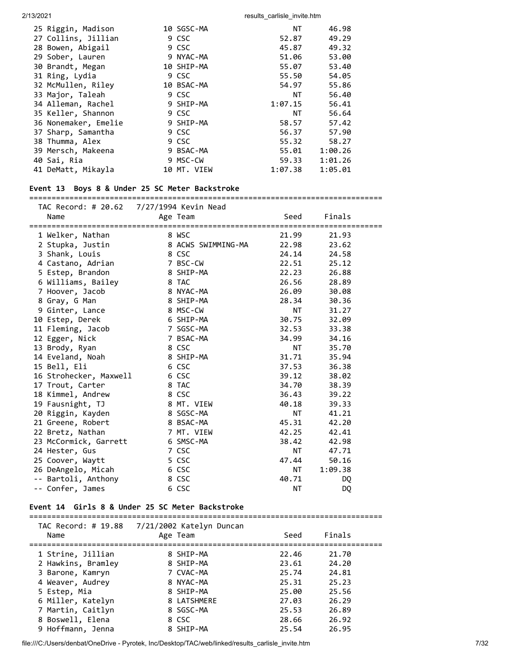| 25 Riggin, Madison   | 10 SGSC-MA  | <b>NT</b> | 46.98   |
|----------------------|-------------|-----------|---------|
| 27 Collins, Jillian  | 9 CSC       | 52.87     | 49.29   |
| 28 Bowen, Abigail    | 9 CSC       | 45.87     | 49.32   |
| 29 Sober, Lauren     | 9 NYAC-MA   | 51.06     | 53.00   |
| 30 Brandt, Megan     | 10 SHIP-MA  | 55.07     | 53.40   |
| 31 Ring, Lydia       | 9 CSC       | 55.50     | 54.05   |
| 32 McMullen, Riley   | 10 BSAC-MA  | 54.97     | 55.86   |
| 33 Major, Taleah     | 9 CSC       | <b>NT</b> | 56.40   |
| 34 Alleman, Rachel   | 9 SHIP-MA   | 1:07.15   | 56.41   |
| 35 Keller, Shannon   | 9 CSC       | NT        | 56.64   |
| 36 Nonemaker, Emelie | 9 SHIP-MA   | 58.57     | 57.42   |
| 37 Sharp, Samantha   | 9 CSC       | 56.37     | 57.90   |
| 38 Thumma, Alex      | 9 CSC       | 55.32     | 58.27   |
| 39 Mersch, Makeena   | 9 BSAC-MA   | 55.01     | 1:00.26 |
| 40 Sai, Ria          | 9 MSC-CW    | 59.33     | 1:01.26 |
| 41 DeMatt, Mikayla   | 10 MT. VIEW | 1:07.38   | 1:05.01 |

#### **Event 13 Boys 8 & Under 25 SC Meter Backstroke**

#### ===============================================================================  $TAC$  Record: # 20.62

| Name                                                     | Age Team                                  | Seed      | Finals    |           |
|----------------------------------------------------------|-------------------------------------------|-----------|-----------|-----------|
| ====================================<br>1 Welker, Nathan | ================================<br>8 WSC | 21.99     | 21.93     | :======== |
| 2 Stupka, Justin                                         | 8 ACWS SWIMMING-MA                        | 22.98     | 23.62     |           |
| 3 Shank, Louis                                           | 8 CSC                                     | 24.14     | 24.58     |           |
| 4 Castano, Adrian                                        | 7 BSC-CW                                  | 22.51     | 25.12     |           |
| 5 Estep, Brandon                                         | 8 SHIP-MA                                 | 22.23     | 26.88     |           |
| 6 Williams, Bailey                                       | 8 TAC                                     | 26.56     | 28.89     |           |
| 7 Hoover, Jacob                                          | 8 NYAC-MA                                 | 26.09     | 30.08     |           |
| 8 Gray, G Man                                            | 8 SHIP-MA                                 | 28.34     | 30.36     |           |
| 9 Ginter, Lance                                          | 8 MSC-CW                                  | NT 1      | 31.27     |           |
| 10 Estep, Derek                                          | 6 SHIP-MA                                 | 30.75     | 32.09     |           |
| 11 Fleming, Jacob                                        | 7 SGSC-MA                                 | 32.53     | 33.38     |           |
| 12 Egger, Nick                                           | 7 BSAC-MA                                 | 34.99     | 34.16     |           |
|                                                          | 8 CSC                                     | NT        | 35.70     |           |
| 13 Brody, Ryan                                           | 8 SHIP-MA                                 | 31.71     | 35.94     |           |
| 14 Eveland, Noah                                         | 6 CSC                                     | 37.53     | 36.38     |           |
| 15 Bell, Eli                                             |                                           |           |           |           |
| 16 Strohecker, Maxwell                                   | 6 CSC                                     | 39.12     | 38.02     |           |
| 17 Trout, Carter                                         | 8 TAC                                     | 34.70     | 38.39     |           |
| 18 Kimmel, Andrew                                        | 8 CSC                                     | 36.43     | 39.22     |           |
| 19 Fausnight, TJ                                         | 8 MT. VIEW                                | 40.18     | 39.33     |           |
| 20 Riggin, Kayden                                        | 8 SGSC-MA                                 | <b>NT</b> | 41.21     |           |
| 21 Greene, Robert                                        | 8 BSAC-MA                                 | 45.31     | 42.20     |           |
| 22 Bretz, Nathan                                         | 7 MT. VIEW                                | 42.25     | 42.41     |           |
| 23 McCormick, Garrett                                    | 6 SMSC-MA                                 | 38.42     | 42.98     |           |
| 24 Hester, Gus                                           | 7 CSC                                     | <b>NT</b> | 47.71     |           |
| 25 Coover, Waytt                                         | 5 CSC                                     | 47.44     | 50.16     |           |
| 26 DeAngelo, Micah                                       | 6 CSC                                     | NT 1      | 1:09.38   |           |
| -- Bartoli, Anthony                                      | 8 CSC                                     | 40.71     | DQ.       |           |
| -- Confer, James                                         | 6 CSC                                     | <b>NT</b> | <b>DQ</b> |           |

#### **Event 14 Girls 8 & Under 25 SC Meter Backstroke**

=============================================================================== TAC Record: # 19.88 7/21/2002 Katelyn Duncan Name Age Team Seed Finals =============================================================================== 1 Strine, Jillian 8 SHIP-MA 22.46 21.70 2 Hawkins, Bramley 8 SHIP-MA 23.61 24.20 3 Barone, Kamryn 7 CVAC-MA 25.74 24.81 4 Weaver, Audrey 8 NYAC-MA 25.31 25.23 5 Estep, Mia 8 SHIP-MA 25.00 25.56 6 Miller, Katelyn 8 LATSHMERE 27.03 26.29 7 Martin, Caitlyn 8 SGSC-MA 25.53 26.89 8 Boswell, Elena 8 CSC 28.66 26.92 9 Hoffmann, Jenna 8 SHIP-MA 25.54 26.95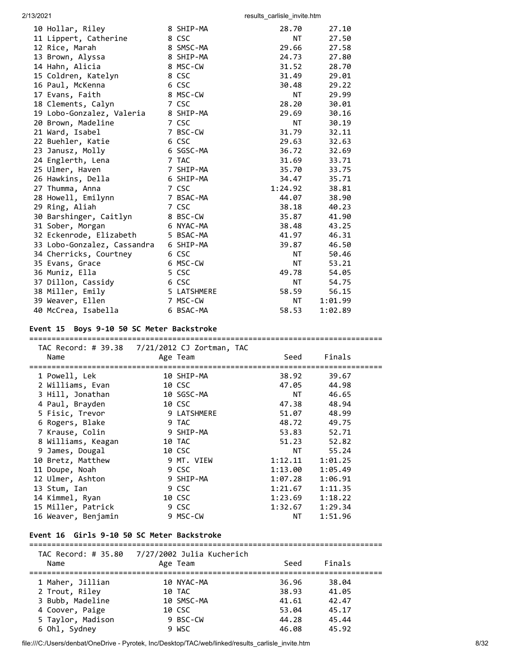| 10 Hollar, Riley            | 8 SHIP-MA   | 28.70     | 27.10   |
|-----------------------------|-------------|-----------|---------|
| 11 Lippert, Catherine       | 8 CSC       | <b>NT</b> | 27.50   |
| 12 Rice, Marah              | 8 SMSC-MA   | 29.66     | 27.58   |
| 13 Brown, Alyssa            | 8 SHIP-MA   | 24.73     | 27.80   |
| 14 Hahn, Alicia             | 8 MSC-CW    | 31.52     | 28.70   |
| 15 Coldren, Katelyn         | 8 CSC       | 31.49     | 29.01   |
| 16 Paul, McKenna            | 6 CSC       | 30.48     | 29.22   |
| 17 Evans, Faith             | 8 MSC-CW    | <b>NT</b> | 29.99   |
| 18 Clements, Calyn          | 7 CSC       | 28.20     | 30.01   |
| 19 Lobo-Gonzalez, Valeria   | 8 SHIP-MA   | 29.69     | 30.16   |
| 20 Brown, Madeline          | 7 CSC       | <b>NT</b> | 30.19   |
| 21 Ward, Isabel             | 7 BSC-CW    | 31.79     | 32.11   |
| 22 Buehler, Katie           | 6 CSC       | 29.63     | 32.63   |
| 23 Janusz, Molly            | 6 SGSC-MA   | 36.72     | 32.69   |
| 24 Englerth, Lena           | 7 TAC       | 31.69     | 33.71   |
| 25 Ulmer, Haven             | 7 SHIP-MA   | 35.70     | 33.75   |
| 26 Hawkins, Della           | 6 SHIP-MA   | 34.47     | 35.71   |
| 27 Thumma, Anna             | 7 CSC       | 1:24.92   | 38.81   |
| 28 Howell, Emilynn          | 7 BSAC-MA   | 44.07     | 38.90   |
| 29 Ring, Aliah              | 7 CSC       | 38.18     | 40.23   |
| 30 Barshinger, Caitlyn      | 8 BSC-CW    | 35.87     | 41.90   |
| 31 Sober, Morgan            | 6 NYAC-MA   | 38.48     | 43.25   |
| 32 Eckenrode, Elizabeth     | 5 BSAC-MA   | 41.97     | 46.31   |
| 33 Lobo-Gonzalez, Cassandra | 6 SHIP-MA   | 39.87     | 46.50   |
| 34 Cherricks, Courtney      | 6 CSC       | <b>NT</b> | 50.46   |
| 35 Evans, Grace             | 6 MSC-CW    | <b>NT</b> | 53.21   |
| 36 Muniz, Ella              | 5 CSC       | 49.78     | 54.05   |
| 37 Dillon, Cassidy          | 6 CSC       | <b>NT</b> | 54.75   |
| 38 Miller, Emily            | 5 LATSHMERE | 58.59     | 56.15   |
| 39 Weaver, Ellen            | 7 MSC-CW    | NT        | 1:01.99 |
| 40 McCrea, Isabella         | 6 BSAC-MA   | 58.53     | 1:02.89 |

#### **Event 15 Boys 9-10 50 SC Meter Backstroke**

===============================================================================

| Name                                           | TAC Record: # 39.38  7/21/2012 CJ Zortman, TAC<br>Age Team<br>================================== | Seed                                                                                                                                                                                                                           | Finals  |  |
|------------------------------------------------|--------------------------------------------------------------------------------------------------|--------------------------------------------------------------------------------------------------------------------------------------------------------------------------------------------------------------------------------|---------|--|
| =============================<br>1 Powell, Lek | 10 SHIP-MA                                                                                       | 38.92                                                                                                                                                                                                                          | 39.67   |  |
| 2 Williams, Evan                               | 10 CSC                                                                                           | 47.05                                                                                                                                                                                                                          | 44.98   |  |
| 3 Hill, Jonathan                               | 10 SGSC-MA                                                                                       | NT <sub>1</sub>                                                                                                                                                                                                                | 46.65   |  |
| 4 Paul, Brayden                                | 10 CSC                                                                                           | 47.38                                                                                                                                                                                                                          | 48.94   |  |
| 5 Fisic, Trevor                                | 9 LATSHMERE                                                                                      | 51.07                                                                                                                                                                                                                          | 48.99   |  |
| 6 Rogers, Blake                                | 9 TAC                                                                                            | 48.72                                                                                                                                                                                                                          | 49.75   |  |
| 7 Krause, Colin                                | 9 SHIP-MA                                                                                        | 53.83                                                                                                                                                                                                                          | 52.71   |  |
| 8 Williams, Keagan                             | 10 TAC                                                                                           | 51.23                                                                                                                                                                                                                          | 52.82   |  |
| 9 James, Dougal                                | 10 CSC                                                                                           | NT FOR THE STATE OF THE STATE OF THE STATE OF THE STATE OF THE STATE OF THE STATE OF THE STATE OF THE STATE OF THE STATE OF THE STATE OF THE STATE OF THE STATE OF THE STATE OF THE STATE OF THE STATE OF THE STATE OF THE STA | 55.24   |  |
| 10 Bretz, Matthew                              | 9 MT. VIEW                                                                                       | 1:12.11                                                                                                                                                                                                                        | 1:01.25 |  |
| 11 Doupe, Noah                                 | 9 CSC                                                                                            | 1:13.00                                                                                                                                                                                                                        | 1:05.49 |  |
| 12 Ulmer, Ashton                               | 9 SHIP-MA                                                                                        | 1:07.28                                                                                                                                                                                                                        | 1:06.91 |  |
| 13 Stum, Ian                                   | 9 CSC                                                                                            | 1:21.67                                                                                                                                                                                                                        | 1:11.35 |  |
| 14 Kimmel, Ryan                                | 10 CSC                                                                                           | 1:23.69                                                                                                                                                                                                                        | 1:18.22 |  |
| 15 Miller, Patrick                             | 9 CSC                                                                                            | 1:32.67                                                                                                                                                                                                                        | 1:29.34 |  |
| 16 Weaver, Benjamin                            | 9 MSC-CW                                                                                         | NT                                                                                                                                                                                                                             | 1:51.96 |  |
|                                                |                                                                                                  |                                                                                                                                                                                                                                |         |  |

#### **Event 16 Girls 9-10 50 SC Meter Backstroke**

===============================================================================

| TAC Record: # 35.80<br>Name | 7/27/2002 Julia Kucherich<br>Age Team | Seed  | Finals |  |
|-----------------------------|---------------------------------------|-------|--------|--|
| 1 Maher, Jillian            | 10 NYAC-MA                            | 36.96 | 38.04  |  |
| 2 Trout, Riley              | 10 TAC                                | 38.93 | 41.05  |  |
| 3 Bubb, Madeline            | 10 SMSC-MA                            | 41.61 | 42.47  |  |
| 4 Coover, Paige             | 10 CSC                                | 53.04 | 45.17  |  |
| 5 Taylor, Madison           | 9 BSC-CW                              | 44.28 | 45.44  |  |
| 6 Ohl, Sydney               | 9 WSC                                 | 46.08 | 45.92  |  |

file:///C:/Users/denbat/OneDrive - Pyrotek, Inc/Desktop/TAC/web/linked/results\_carlisle\_invite.htm 8/32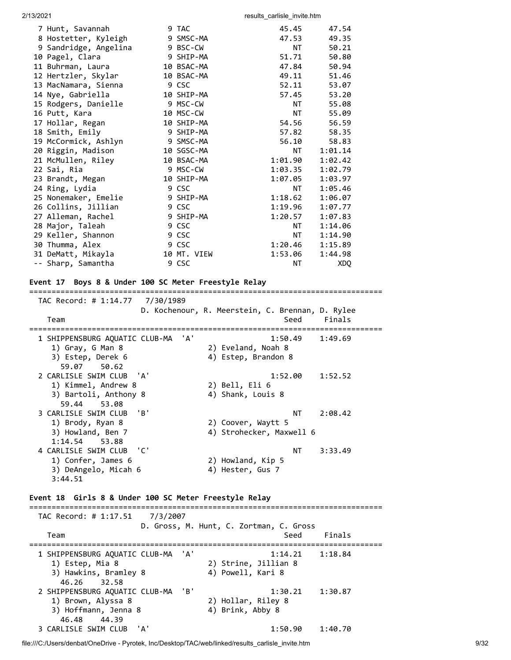| 7 Hunt, Savannah      | 9 TAC       | 45.45   | 47.54   |
|-----------------------|-------------|---------|---------|
| 8 Hostetter, Kyleigh  | 9 SMSC-MA   | 47.53   | 49.35   |
| 9 Sandridge, Angelina | 9 BSC-CW    | NT      | 50.21   |
| 10 Pagel, Clara       | 9 SHIP-MA   | 51.71   | 50.80   |
| 11 Buhrman, Laura     | 10 BSAC-MA  | 47.84   | 50.94   |
| 12 Hertzler, Skylar   | 10 BSAC-MA  | 49.11   | 51.46   |
| 13 MacNamara, Sienna  | 9 CSC       | 52.11   | 53.07   |
| 14 Nye, Gabriella     | 10 SHIP-MA  | 57.45   | 53.20   |
| 15 Rodgers, Danielle  | 9 MSC-CW    | NT      | 55.08   |
| 16 Putt, Kara         | 10 MSC-CW   | NT      | 55.09   |
| 17 Hollar, Regan      | 10 SHIP-MA  | 54.56   | 56.59   |
| 18 Smith, Emily       | 9 SHIP-MA   | 57.82   | 58.35   |
| 19 McCormick, Ashlyn  | 9 SMSC-MA   | 56.10   | 58.83   |
| 20 Riggin, Madison    | 10 SGSC-MA  | NT.     | 1:01.14 |
| 21 McMullen, Riley    | 10 BSAC-MA  | 1:01.90 | 1:02.42 |
| 22 Sai, Ria           | 9 MSC-CW    | 1:03.35 | 1:02.79 |
| 23 Brandt, Megan      | 10 SHIP-MA  | 1:07.05 | 1:03.97 |
| 24 Ring, Lydia        | 9 CSC       | NT      | 1:05.46 |
| 25 Nonemaker, Emelie  | 9 SHIP-MA   | 1:18.62 | 1:06.07 |
| 26 Collins, Jillian   | 9 CSC       | 1:19.96 | 1:07.77 |
| 27 Alleman, Rachel    | 9 SHIP-MA   | 1:20.57 | 1:07.83 |
| 28 Major, Taleah      | 9 CSC       | NT      | 1:14.06 |
| 29 Keller, Shannon    | 9 CSC       | NT      | 1:14.90 |
| 30 Thumma, Alex       | 9 CSC       | 1:20.46 | 1:15.89 |
| 31 DeMatt, Mikayla    | 10 MT. VIEW | 1:53.06 | 1:44.98 |
| -- Sharp, Samantha    | 9 CSC       | ΝT      | XDQ     |
|                       |             |         |         |

#### **Event 17 Boys 8 & Under 100 SC Meter Freestyle Relay**

=============================================================================== TAC Record: # 1:14.77 7/30/1989 D. Kochenour, R. Meerstein, C. Brennan, D. Rylee Team Seed Finals =============================================================================== 1 SHIPPENSBURG AQUATIC CLUB-MA 'A' 1:50.49 1:49.69 1) Gray, G Man 8 2) Eveland, Noah 8 3) Estep, Derek 6 4) Estep, Brandon 8 59.07 50.62 2 CARLISLE SWIM CLUB 'A' 1:52.00 1:52.52 1) Kimmel, Andrew 8 2) Bell, Eli 6 3) Bartoli, Anthony 8 (4) Shank, Louis 8 59.44 53.08 3 CARLISLE SWIM CLUB 'B' National Contract of the MT 2:08.42 1) Brody, Ryan 8 2) Coover, Waytt 5 3) Howland, Ben 7 4) Strohecker, Maxwell 6 1:14.54 53.88 4 CARLISLE SWIM CLUB 'C' NT 3:33.49 1) Confer, James 6 2) Howland, Kip 5 3) DeAngelo, Micah 6 4) Hester, Gus 7 3:44.51 **Event 18 Girls 8 & Under 100 SC Meter Freestyle Relay** =============================================================================== TAC Record: # 1:17.51 7/3/2007 D. Gross, M. Hunt, C. Zortman, C. Gross Team Seed Finals

=============================================================================== 1 SHIPPENSBURG AQUATIC CLUB-MA 'A' 1:14.21 1:18.84 1) Estep, Mia 8 2) Strine, Jillian 8 3) Hawkins, Bramley 8 (4) Powell, Kari 8 46.26 32.58 2 SHIPPENSBURG AQUATIC CLUB-MA 'B' 1:30.21 1:30.87 1) Brown, Alyssa 8 2) Hollar, Riley 8 3) Hoffmann, Jenna 8 4) Brink, Abby 8 46.48 44.39 3 CARLISLE SWIM CLUB 'A' 1:50.90 1:40.70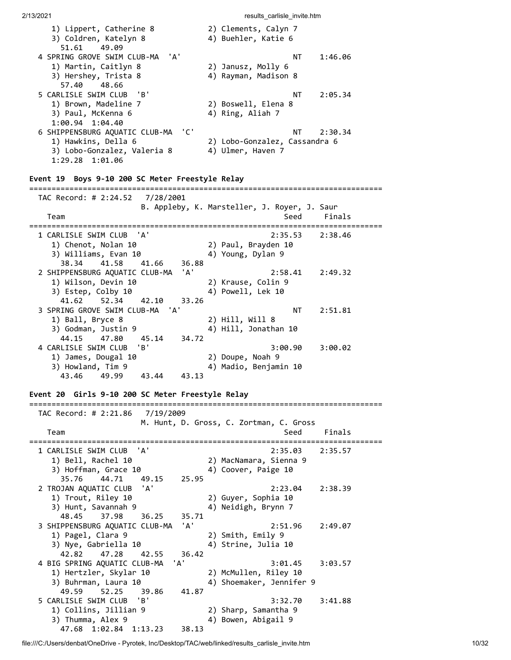| 1) Lippert, Catherine 8                 | 2) Clements, Calyn 7          |
|-----------------------------------------|-------------------------------|
| 3) Coldren, Katelyn 8                   | 4) Buehler, Katie 6           |
| 51.61<br>49.09                          |                               |
| 4 SPRING GROVE SWIM CLUB-MA 'A'         | 1:46.06<br>NT.                |
| 1) Martin, Caitlyn 8                    | 2) Janusz, Molly 6            |
| 3) Hershey, Trista 8                    | 4) Rayman, Madison 8          |
| 57.40 48.66                             |                               |
| 5 CARLISLE SWIM CLUB 'B'                | 2:05.34<br>ΝT                 |
| 1) Brown, Madeline 7                    | 2) Boswell, Elena 8           |
| 3) Paul, McKenna 6                      | 4) Ring, Aliah 7              |
| $1:00.94$ $1:04.40$                     |                               |
| . 'C'<br>6 SHIPPENSBURG AQUATIC CLUB-MA | 2:30.34<br>NT                 |
| 1) Hawkins, Della 6                     | 2) Lobo-Gonzalez, Cassandra 6 |
| 3) Lobo-Gonzalez, Valeria 8             | 4) Ulmer, Haven 7             |
| $1:29.28$ $1:01.06$                     |                               |

#### **Event 19 Boys 9-10 200 SC Meter Freestyle Relay**

=============================================================================== TAC Record: # 2:24.52 7/28/2001 B. Appleby, K. Marsteller, J. Royer, J. Saur Team Seed Finals =============================================================================== 1 CARLISLE SWIM CLUB 'A' 2:35.53 2:38.46 1) Chenot, Nolan 10 2) Paul, Brayden 10 3) Williams, Evan 10 4) Young, Dylan 9 38.34 41.58 41.66 36.88 2 SHIPPENSBURG AQUATIC CLUB-MA 'A' 2:58.41 2:49.32 1) Wilson, Devin 10  $\begin{array}{ccc} 2 \end{array}$  Xrause, Colin 9 3) Estep, Colby 10 4) Powell, Lek 10 41.62 52.34 42.10 33.26 3 SPRING GROVE SWIM CLUB-MA 'A' NE MARRIS 2:51.81 1) Ball, Bryce 8 2) Hill, Will 8 3) Godman, Justin 9 4) Hill, Jonathan 10 44.15 47.80 45.14 34.72 4 CARLISLE SWIM CLUB 'B' 3:00.90 3:00.02 1) James, Dougal 10 2) Doupe, Noah 9 3) Howland, Tim 9 4) Madio, Benjamin 10 43.46 49.99 43.44 43.13

### **Event 20 Girls 9-10 200 SC Meter Freestyle Relay**

 TAC Record: # 2:21.86 7/19/2009 M. Hunt, D. Gross, C. Zortman, C. Gross Team Seed Finals =============================================================================== 1 CARLISLE SWIM CLUB 'A' 2:35.03 2:35.57<br>1) Bell, Rachel 10 2) MacNamara, Sienna 9<br>3) Hoffman, Grace 10 4) Coover, Paige 10 1) Bell, Rachel 10 2) MacNamara, Sienna 9 3) Hoffman, Grace 10 4) Coover, Paige 10 35.76 44.71 49.15 25.95 2 TROJAN AQUATIC CLUB 'A' 2:23.04 2:38.39 1) Trout, Riley 10 2) Guyer, Sophia 10 3) Hunt, Savannah 9 (4) Neidigh, Brynn 7 48.45 37.98 36.25 35.71 3 SHIPPENSBURG AQUATIC CLUB-MA 'A' 2:51.96 2:49.07 1) Pagel, Clara 9 2) Smith, Emily 9 3) Nye, Gabriella 10 (4) Strine, Julia 10 42.82 47.28 42.55 36.42 4 BIG SPRING AQUATIC CLUB-MA 'A' 3:01.45 3:03.57 1) Hertzler, Skylar 10 2) McMullen, Riley 10 3) Buhrman, Laura 10 (4) Shoemaker, Jennifer 9 49.59 52.25 39.86 41.87 5 CARLISLE SWIM CLUB 'B' 3:32.70 3:41.88 1) Collins, Jillian 9 2) Sharp, Samantha 9 3) Thumma, Alex 9 4) Bowen, Abigail 9 47.68 1:02.84 1:13.23 38.13

===============================================================================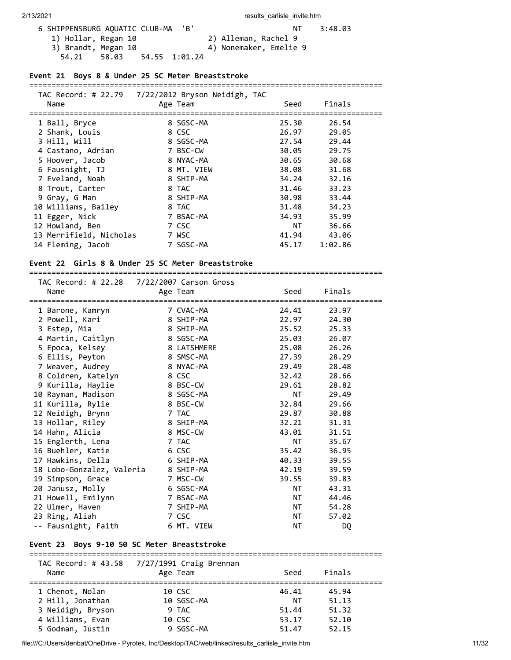| 6 SHIPPENSBURG AQUATIC CLUB-MA  | 'B'                    | NT | 3:48.03 |
|---------------------------------|------------------------|----|---------|
| 1) Hollar, Regan 10             | 2) Alleman, Rachel 9   |    |         |
| 3) Brandt, Megan 10             | 4) Nonemaker, Emelie 9 |    |         |
| 54.55 1:01.24<br>54.21<br>58.03 |                        |    |         |

#### **Event 21 Boys 8 & Under 25 SC Meter Breaststroke**

#### ===============================================================================

| TAC Record: # 22.79     | 7/22/2012 Bryson Neidigh, TAC |       |         |  |
|-------------------------|-------------------------------|-------|---------|--|
| Name                    | Age Team                      | Seed  | Finals  |  |
|                         |                               |       |         |  |
| 1 Ball, Bryce           | 8 SGSC-MA                     | 25.30 | 26.54   |  |
| 2 Shank, Louis          | 8 CSC                         | 26.97 | 29.05   |  |
| 3 Hill, Will            | 8 SGSC-MA                     | 27.54 | 29.44   |  |
| 4 Castano, Adrian       | 7 BSC-CW                      | 30.05 | 29.75   |  |
| 5 Hoover, Jacob         | 8 NYAC-MA                     | 30.65 | 30.68   |  |
| 6 Fausnight, TJ         | 8 MT. VIEW                    | 38.08 | 31.68   |  |
| 7 Eveland, Noah         | 8 SHIP-MA                     | 34.24 | 32.16   |  |
| 8 Trout, Carter         | 8 TAC                         | 31.46 | 33.23   |  |
| 9 Gray, G Man           | 8 SHIP-MA                     | 30.98 | 33.44   |  |
| 10 Williams, Bailey     | 8 TAC                         | 31.48 | 34.23   |  |
| 11 Egger, Nick          | 7 BSAC-MA                     | 34.93 | 35.99   |  |
| 12 Howland, Ben         | 7 CSC                         | NT .  | 36.66   |  |
| 13 Merrifield, Nicholas | 7 WSC                         | 41.94 | 43.06   |  |
| 14 Fleming, Jacob       | 7 SGSC-MA                     | 45.17 | 1:02.86 |  |

===============================================================================

#### **Event 22 Girls 8 & Under 25 SC Meter Breaststroke**

 TAC Record: # 22.28 7/22/2007 Carson Gross Name **Age Team** Seed Finals =============================================================================== 1 Barone, Kamryn 7 CVAC-MA 24.41 23.97<br>
2 Powell, Kari 8 SHIP-MA 22.97 24.30<br>
3 Estep, Mia 8 SHIP-MA 25.52 25.33<br>
4 Martin, Caitlyn 8 SGSC-MA 25.62 26.07<br>
5 Epoca, Kelsey 8 LATSHMERE 25.08 26.26<br>
6 Ellis, Peyton 8 SMSC-MA 2 Powell, Kari 8 SHIP-MA 22.97 24.30 3 Estep, Mia 8 SHIP-MA 25.52 25.33 4 Martin, Caitlyn 8 SGSC-MA 25.03 26.07 5 Epoca, Kelsey 8 LATSHMERE 25.08 26.26 6 Ellis, Peyton 8 SMSC-MA 27.39 28.29 7 Weaver, Audrey 8 NYAC-MA 29.49 28.48 8 Coldren, Katelyn 8 CSC 32.42 28.66 9 Kurilla, Haylie 8 BSC-CW 29.61 28.82 10 Rayman, Madison 8 SGSC-MA NT 29.49 11 Kurilla, Rylie 8 BSC-CW 32.84 29.66 12 Neidigh, Brynn 7 TAC 29.87 30.88 13 Hollar, Riley 8 SHIP-MA 32.21 31.31 14 Hahn, Alicia 8 MSC-CW 43.01 31.51 15 Englerth, Lena 7 TAC NT 35.67 16 Buehler, Katie 6 CSC 35.42 36.95 17 Hawkins, Della 6 SHIP-MA 40.33 39.55 18 Lobo-Gonzalez, Valeria 8 SHIP-MA 42.19 39.59 19 Simpson, Grace 7 MSC-CW 39.55 39.83 20 Janusz, Molly 6 SGSC-MA NT 43.31 21 Howell, Emilynn 7 BSAC-MA NT 44.46 20 Janusz, Molly (20 Janusz, Molly (20 Janusz, Molly (20 Janusz, Molly (20 Janusz, Molly (20 Janusz)<br>
22 Ulmer, Haven (20 Julmer, Haven (20 Julmer, Haven (20 Julmer, Haven (20 Julmer, Haven (20 Janusz)<br>
23 Ring, Aliah (20 23 Ring, Aliah 7 CSC NT 57.02 -- Fausnight, Faith 6 MT. VIEW **NT NT DO** 

#### **Event 23 Boys 9-10 50 SC Meter Breaststroke**

| TAC Record: # 43.58 | 7/27/1991 Craig Brennan |       |        |  |
|---------------------|-------------------------|-------|--------|--|
| Name                | Age Team                | Seed  | Finals |  |
|                     |                         |       |        |  |
| 1 Chenot, Nolan     | 10 CSC                  | 46.41 | 45.94  |  |
| 2 Hill, Jonathan    | 10 SGSC-MA              | NΤ    | 51.13  |  |
| 3 Neidigh, Bryson   | 9 TAC                   | 51.44 | 51.32  |  |
| 4 Williams, Evan    | 10 CSC                  | 53.17 | 52.10  |  |
| 5 Godman, Justin    | 9 SGSC-MA               | 51.47 | 52.15  |  |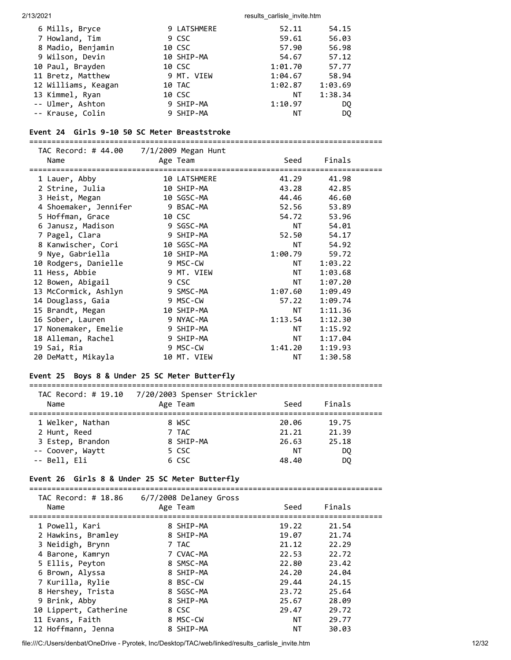| 6 Mills, Bryce      | 9 LATSHMERE | 52.11   | 54.15   |
|---------------------|-------------|---------|---------|
| 7 Howland, Tim      | 9 CSC       | 59.61   | 56.03   |
| 8 Madio, Benjamin   | 10 CSC      | 57.90   | 56.98   |
| 9 Wilson, Devin     | 10 SHIP-MA  | 54.67   | 57.12   |
| 10 Paul, Brayden    | 10 CSC      | 1:01.70 | 57.77   |
| 11 Bretz, Matthew   | 9 MT. VIEW  | 1:04.67 | 58.94   |
| 12 Williams, Keagan | 10 TAC      | 1:02.87 | 1:03.69 |
| 13 Kimmel, Ryan     | 10 CSC      | NΤ      | 1:38.34 |
| -- Ulmer, Ashton    | 9 SHIP-MA   | 1:10.97 | DO.     |
| -- Krause, Colin    | 9 SHIP-MA   | NΤ      | DO.     |

#### **Event 24 Girls 9-10 50 SC Meter Breaststroke**

===============================================================================

| TAC Record: # 44.00 7/1/2009 Megan Hunt |              |                             |         |  |
|-----------------------------------------|--------------|-----------------------------|---------|--|
| Name                                    | Age Team     | Seed                        | Finals  |  |
| 1 Lauer, Abby                           | 10 LATSHMERE | 41.29                       | 41.98   |  |
| 2 Strine, Julia                         | 10 SHIP-MA   | 43.28                       | 42.85   |  |
| 3 Heist, Megan                          | 10 SGSC-MA   | 44.46                       | 46.60   |  |
| 4 Shoemaker, Jennifer                   | 9 BSAC-MA    | 52.56                       | 53.89   |  |
| 5 Hoffman, Grace                        | 10 CSC       | 54.72                       | 53.96   |  |
| 6 Janusz, Madison                       | 9 SGSC-MA    | NT                          | 54.01   |  |
| 7 Pagel, Clara                          | 9 SHIP-MA    | 52.50                       | 54.17   |  |
| 8 Kanwischer, Cori                      | 10 SGSC-MA   | NT                          | 54.92   |  |
| 9 Nye, Gabriella                        | 10 SHIP-MA   | 1:00.79                     | 59.72   |  |
| 10 Rodgers, Danielle                    | 9 MSC-CW     | NT FOR ALL THE STATE STATES | 1:03.22 |  |
| 11 Hess, Abbie                          | 9 MT. VIEW   | NT                          | 1:03.68 |  |
| 12 Bowen, Abigail                       | 9 CSC        | NT to the N                 | 1:07.20 |  |
| 13 McCormick, Ashlyn                    | 9 SMSC-MA    | 1:07.60                     | 1:09.49 |  |
| 14 Douglass, Gaia                       | 9 MSC-CW     | 57.22                       | 1:09.74 |  |
| 15 Brandt, Megan                        | 10 SHIP-MA   | NT L                        | 1:11.36 |  |
| 16 Sober, Lauren                        | 9 NYAC-MA    | 1:13.54                     | 1:12.30 |  |
| 17 Nonemaker, Emelie                    | 9 SHIP-MA    | NT L                        | 1:15.92 |  |
| 18 Alleman, Rachel                      | 9 SHIP-MA    | NT to the N                 | 1:17.04 |  |
| 19 Sai, Ria                             | 9 MSC-CW     | 1:41.20                     | 1:19.93 |  |
| 20 DeMatt, Mikayla                      | 10 MT. VIEW  | <b>NT</b>                   | 1:30.58 |  |

### **Event 25 Boys 8 & Under 25 SC Meter Butterfly**

#### ===============================================================================  $TAC Bccond: # 10.10 7/20/20025$

| Name             | Age Team  | Seed  | Finals |  |
|------------------|-----------|-------|--------|--|
| 1 Welker, Nathan | 8 WSC     | 20.06 | 19.75  |  |
| 2 Hunt, Reed     | 7 TAC     | 21.21 | 21.39  |  |
| 3 Estep, Brandon | 8 SHIP-MA | 26.63 | 25.18  |  |
| -- Coover, Waytt | 5 CSC     | ΝT    | DO.    |  |
| -- Bell, Eli     | 6 CSC     | 48.40 | DQ     |  |

#### **Event 26 Girls 8 & Under 25 SC Meter Butterfly**

| Name                  | TAC Record: # 18.86    6/7/2008 Delaney Gross<br>Age Team | Seed      | Finals |  |
|-----------------------|-----------------------------------------------------------|-----------|--------|--|
| 1 Powell, Kari        | 8 SHIP-MA                                                 | 19.22     | 21.54  |  |
| 2 Hawkins, Bramley    | 8 SHIP-MA                                                 | 19.07     | 21.74  |  |
| 3 Neidigh, Brynn      | 7 TAC                                                     | 21.12     | 22.29  |  |
| 4 Barone, Kamryn      | 7 CVAC-MA                                                 | 22.53     | 22.72  |  |
| 5 Ellis, Peyton       | 8 SMSC-MA                                                 | 22.80     | 23.42  |  |
| 6 Brown, Alyssa       | 8 SHIP-MA                                                 | 24.20     | 24.04  |  |
| 7 Kurilla, Rylie      | 8 BSC-CW                                                  | 29.44     | 24.15  |  |
| 8 Hershey, Trista     | 8 SGSC-MA                                                 | 23.72     | 25.64  |  |
| 9 Brink, Abby         | 8 SHIP-MA                                                 | 25.67     | 28.09  |  |
| 10 Lippert, Catherine | 8 CSC                                                     | 29.47     | 29.72  |  |
| 11 Evans, Faith       | 8 MSC-CW                                                  | <b>NT</b> | 29.77  |  |
| 12 Hoffmann, Jenna    | 8 SHIP-MA                                                 | <b>NT</b> | 30.03  |  |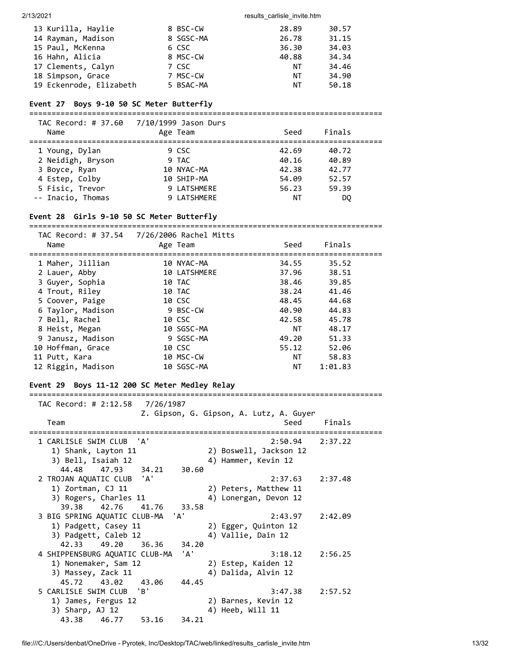| 13 Kurilla, Haylie      | 8 BSC-CW  | 28.89 | 30.57 |
|-------------------------|-----------|-------|-------|
| 14 Rayman, Madison      | 8 SGSC-MA | 26.78 | 31.15 |
| 15 Paul, McKenna        | 6 CSC     | 36.30 | 34.03 |
| 16 Hahn, Alicia         | 8 MSC-CW  | 40.88 | 34.34 |
| 17 Clements, Calyn      | 7 CSC     | ΝT    | 34.46 |
| 18 Simpson, Grace       | 7 MSC-CW  | NT    | 34.90 |
| 19 Eckenrode, Elizabeth | 5 BSAC-MA | NT    | 50.18 |

### **Event 27 Boys 9-10 50 SC Meter Butterfly**

===============================================================================

| TAC Record: # 37.60<br>Name | 7/10/1999 Jason Durs<br>Age Team | Seed  | Finals |  |
|-----------------------------|----------------------------------|-------|--------|--|
| 1 Young, Dylan              | 9 CSC                            | 42.69 | 40.72  |  |
| 2 Neidigh, Bryson           | 9 TAC                            | 40.16 | 40.89  |  |
| 3 Boyce, Ryan               | 10 NYAC-MA                       | 42.38 | 42.77  |  |
| 4 Estep, Colby              | 10 SHIP-MA                       | 54.09 | 52.57  |  |
| 5 Fisic, Trevor             | 9 LATSHMERE                      | 56.23 | 59.39  |  |
| -- Inacio, Thomas           | 9 LATSHMERE                      | ΝT    | DO     |  |

#### **Event 28 Girls 9-10 50 SC Meter Butterfly**

=============================================================================== TAC Record: # 37.54 7/26/2006 Rachel Mitts

| TAC NECORD: # 37.34 772072000 NACHEI MICLS<br>Name | Age Team     | Seed  | Finals  |  |
|----------------------------------------------------|--------------|-------|---------|--|
| 1 Maher, Jillian                                   | 10 NYAC-MA   | 34.55 | 35.52   |  |
| 2 Lauer, Abby                                      | 10 LATSHMERE | 37.96 | 38.51   |  |
| 3 Guyer, Sophia                                    | 10 TAC       | 38.46 | 39.85   |  |
| 4 Trout, Riley                                     | 10 TAC       | 38.24 | 41.46   |  |
| 5 Coover, Paige                                    | 10 CSC       | 48.45 | 44.68   |  |
| 6 Taylor, Madison                                  | 9 BSC-CW     | 40.90 | 44.83   |  |
| 7 Bell, Rachel                                     | 10 CSC       | 42.58 | 45.78   |  |
| 8 Heist, Megan                                     | 10 SGSC-MA   | NT    | 48.17   |  |
| 9 Janusz, Madison                                  | 9 SGSC-MA    | 49.20 | 51.33   |  |
| 10 Hoffman, Grace                                  | 10 CSC       | 55.12 | 52.06   |  |
| 11 Putt, Kara                                      | 10 MSC-CW    | NT    | 58.83   |  |
| 12 Riggin, Madison                                 | 10 SGSC-MA   | NΤ    | 1:01.83 |  |
|                                                    |              |       |         |  |

### **Event 29 Boys 11-12 200 SC Meter Medley Relay**

| TAC Record: # 2:12.58<br>7/26/1987    |                                         |
|---------------------------------------|-----------------------------------------|
|                                       | Z. Gipson, G. Gipson, A. Lutz, A. Guyer |
| Team                                  | Seed<br>Finals                          |
|                                       |                                         |
| 1 CARLISLE SWIM CLUB 'A'              | 2:37.22<br>2:50.94                      |
| 1) Shank, Layton 11                   | 2) Boswell, Jackson 12                  |
| 3) Bell, Isaiah 12                    | 4) Hammer, Kevin 12                     |
| 44.48 47.93<br>34.21<br>30.60         |                                         |
| 2 TROJAN AQUATIC CLUB 'A'             | 2:37.63<br>2:37.48                      |
| 1) Zortman, CJ 11                     | 2) Peters, Matthew 11                   |
| 3) Rogers, Charles 11                 | 4) Lonergan, Devon 12                   |
| 39.38 42.76<br>41.76<br>33.58         |                                         |
| 3 BIG SPRING AQUATIC CLUB-MA 'A'      | 2:42.09<br>2:43.97                      |
| 1) Padgett, Casey 11                  | 2) Egger, Quinton 12                    |
| 3) Padgett, Caleb 12                  | 4) Vallie, Dain 12                      |
| 42.33 49.20<br>36.36<br>34.20         |                                         |
| 'д'<br>4 SHIPPENSBURG AQUATIC CLUB-MA | 3:18.12<br>2:56.25                      |
| 1) Nonemaker, Sam 12                  | 2) Estep, Kaiden 12                     |
| 3) Massey, Zack 11                    | 4) Dalida, Alvin 12                     |
| 45.72<br>43.02<br>44.45<br>43.06      |                                         |
| 5 CARLISLE SWIM CLUB 'B'              | 3:47.38<br>2:57.52                      |
| 1) James, Fergus 12                   | 2) Barnes, Kevin 12                     |
| 3) Sharp, AJ 12                       | 4) Heeb, Will 11                        |
| 43.38 46.77<br>53.16<br>34.21         |                                         |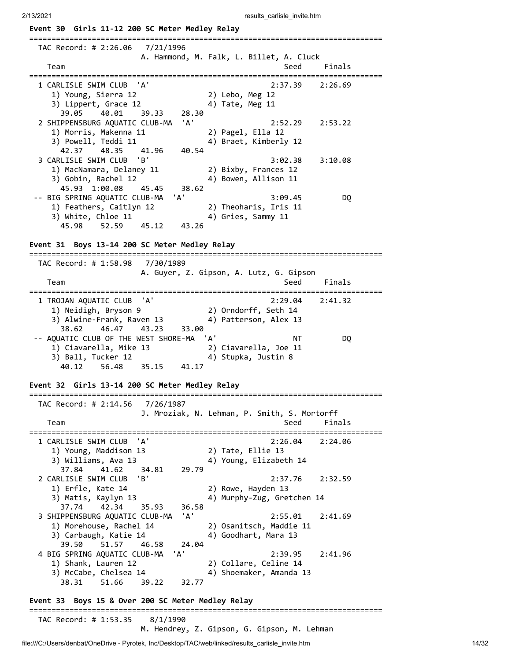2/13/2021 **results** carlisle invite.htm **Event 30 Girls 11-12 200 SC Meter Medley Relay** =============================================================================== TAC Record: # 2:26.06 7/21/1996 A. Hammond, M. Falk, L. Billet, A. Cluck Team Seed Finals =============================================================================== 1 CARLISLE SWIM CLUB 'A' 2:37.39 2:26.69 1) Young, Sierra 12 2) Lebo, Meg 12 3) Lippert, Grace 12 4) Tate, Meg 11 39.05 40.01 39.33 28.30 2 SHIPPENSBURG AQUATIC CLUB-MA 'A' 2:52.29 2:53.22 1) Morris, Makenna 11 2) Pagel, Ella 12 3) Powell, Teddi 11 4) Braet, Kimberly 12 42.37 48.35 41.96 40.54 3 CARLISLE SWIM CLUB 'B' 3:02.38 3:10.08 1) MacNamara, Delaney 11 2) Bixby, Frances 12  $\begin{array}{ccc} 1 & \text{Equation 11} \\ 3 & \text{Gobin, Rachel 12} \end{array}$   $\begin{array}{ccc} 4 & \text{3} \\ 4 & \text{4} \end{array}$  Bowen, Allison 11 45.93 1:00.08 45.45 38.62 -- BIG SPRING AQUATIC CLUB-MA 'A' 3:09.45 DQ 1) Feathers, Caitlyn 12 2) Theoharis, Iris 11 3) White, Chloe 11 4) Gries, Sammy 11 45.98 52.59 45.12 43.26 **Event 31 Boys 13-14 200 SC Meter Medley Relay** =============================================================================== TAC Record: # 1:58.98 7/30/1989 A. Guyer, Z. Gipson, A. Lutz, G. Gipson Team Seed Finals =============================================================================== 1 TROJAN AQUATIC CLUB 'A' 2:29.04 2:41.32 1) Neidigh, Bryson 9 2) Orndorff, Seth 14 3) Alwine-Frank, Raven 13 4) Patterson, Alex 13 38.62 46.47 43.23 33.00 -- AQUATIC CLUB OF THE WEST SHORE-MA 'A' NT NT DQ 1) Ciavarella, Mike 13 2) Ciavarella, Joe 11 3) Ball, Tucker 12 4) Stupka, Justin 8 40.12 56.48 35.15 41.17 **Event 32 Girls 13-14 200 SC Meter Medley Relay** =============================================================================== TAC Record: # 2:14.56 7/26/1987 J. Mroziak, N. Lehman, P. Smith, S. Mortorff Team Seed Finals =============================================================================== 1 CARLISLE SWIM CLUB 'A' 2:26.04 2:24.06 1) Young, Maddison 13 2) Tate, Ellie 13 3) Williams, Ava 13 4) Young, Elizabeth 14 37.84 41.62 34.81 29.79 2 CARLISLE SWIM CLUB 'B' 2:37.76 2:32.59 1) Erfle, Kate 14 2) Rowe, Hayden 13<br>3) Matis, Kaylyn 13 4) Murphy-Zug, Gret 4) Murphy-Zug, Gretchen 14 37.74 42.34 35.93 36.58 3 SHIPPENSBURG AQUATIC CLUB-MA 'A' 2:55.01 2:41.69 1) Morehouse, Rachel 14 2) Osanitsch, Maddie 11 3) Carbaugh, Katie 14 4) Goodhart, Mara 13 1.3. Carbaugh, Katie 14<br>39.50 51.57 46.58 24.04 4 BIG SPRING AQUATIC CLUB-MA 'A' 2:39.95 2:41.96 1) Shank, Lauren 12 2) Collare, Celine 14 3) McCabe, Chelsea 14 4) Shoemaker, Amanda 13 38.31 51.66 39.22 32.77 **Event 33 Boys 15 & Over 200 SC Meter Medley Relay** =============================================================================== TAC Record: # 1:53.35 8/1/1990 M. Hendrey, Z. Gipson, G. Gipson, M. Lehman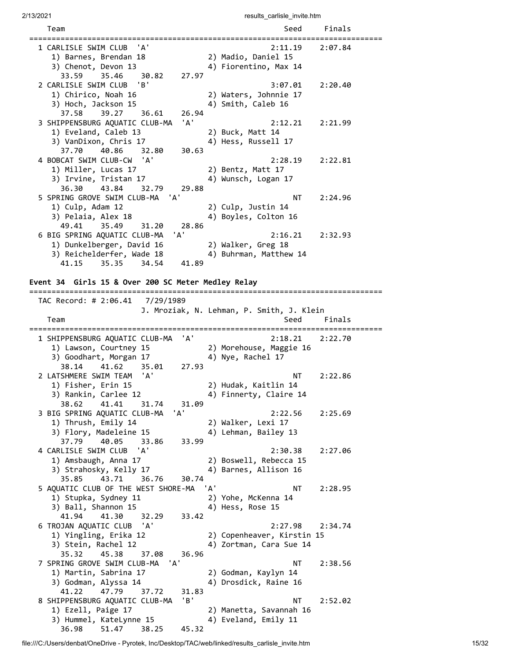| Team                                                                                                                     | Seed                                                             | Finals  |
|--------------------------------------------------------------------------------------------------------------------------|------------------------------------------------------------------|---------|
| 1 CARLISLE SWIM CLUB 'A'<br>1) Barnes, Brendan 18<br>3) Chenot, Devon 13<br>35.46<br>33.59<br>30.82                      | 2:11.19<br>2) Madio, Daniel 15<br>4) Fiorentino, Max 14<br>27.97 | 2:07.84 |
| 2 CARLISLE SWIM CLUB 'B'<br>1) Chirico, Noah 16<br>3) Hoch, Jackson 15<br>37.58<br>39.27<br>36.61                        | 3:07.01<br>2) Waters, Johnnie 17<br>4) Smith, Caleb 16<br>26.94  | 2:20.40 |
| 'A'<br>3 SHIPPENSBURG AQUATIC CLUB-MA<br>1) Eveland, Caleb 13<br>3) VanDixon, Chris 17<br>37.70<br>40.86<br>32.80        | 2:12.21<br>2) Buck, Matt 14<br>4) Hess, Russell 17<br>30.63      | 2:21.99 |
| 4 BOBCAT SWIM CLUB-CW 'A'<br>1) Miller, Lucas 17<br>3) Irvine, Tristan 17<br>36.30 43.84<br>32.79                        | 2:28.19<br>2) Bentz, Matt 17<br>4) Wunsch, Logan 17<br>29.88     | 2:22.81 |
| 5 SPRING GROVE SWIM CLUB-MA 'A'<br>1) Culp, Adam 12<br>3) Pelaia, Alex 18<br>49.41<br>35.49<br>31.20                     | NT<br>2) Culp, Justin 14<br>4) Boyles, Colton 16<br>28.86        | 2:24.96 |
| 'A'<br>6 BIG SPRING AQUATIC CLUB-MA<br>1) Dunkelberger, David 16<br>3) Reichelderfer, Wade 18<br>41.15<br>35.35<br>34.54 | 2:16.21<br>2) Walker, Greg 18<br>4) Buhrman, Matthew 14<br>41.89 | 2:32.93 |

**Event 34 Girls 15 & Over 200 SC Meter Medley Relay**

=============================================================================== TAC Record: # 2:06.41 7/29/1989 J. Mroziak, N. Lehman, P. Smith, J. Klein Team Seed Finals =============================================================================== 1 SHIPPENSBURG AQUATIC CLUB-MA 'A' 2:18.21 2:22.70 1) Lawson, Courtney 15 2) Morehouse, Maggie 16 3) Goodhart, Morgan 17 4) Nye, Rachel 17 38.14 41.62 35.01 2 LATSHMERE SWIM TEAM 'A' NT 2:22.86 1) Fisher, Erin 15 2) Hudak, Kaitlin 14 3) Rankin, Carlee 12 (4) Finnerty, Claire 14 38.62 41.41 31.74 31.09 3 BIG SPRING AQUATIC CLUB-MA 'A' 2:22.56 2:25.69 1) Thrush, Emily 14 2) Walker, Lexi 17 3) Flory, Madeleine 15 4) Lehman, Bailey 13 37.79 40.05 33.86 33.99 4 CARLISLE SWIM CLUB 'A' 2:30.38 2:27.06 1) Amsbaugh, Anna 17 2) Boswell, Rebecca 15 3) Strahosky, Kelly 17 (4) Barnes, Allison 16 35.85 43.71 36.76 30.74 5 AQUATIC CLUB OF THE WEST SHORE-MA 'A' NT 2:28.95 1) Stupka, Sydney 11 2) Yohe, McKenna 14 3) Ball, Shannon 15 (4) Hess, Rose 15 41.94 41.30 32.29 33.42 6 TROJAN AQUATIC CLUB 'A' 2:27.98 2:34.74 1) Yingling, Erika 12 2) Copenheaver, Kirstin 15 3) Stein, Rachel 12 4) Zortman, Cara Sue 14 35.32 45.38 37.08 36.96 7 SPRING GROVE SWIM CLUB-MA 'A' NT 2:38.56 1) Martin, Sabrina 17 2) Godman, Kaylyn 14 3) Godman, Alyssa 14 (4) Drosdick, Raine 16 41.22 47.79 37.72 31.83 8 SHIPPENSBURG AQUATIC CLUB-MA 'B' NT 2:52.02 1) Ezell, Paige 17 2) Manetta, Savannah 16 3) Hummel, KateLynne 15 4) Eveland, Emily 11 36.98 51.47 38.25 45.32

### file:///C:/Users/denbat/OneDrive - Pyrotek, Inc/Desktop/TAC/web/linked/results\_carlisle\_invite.htm 15/32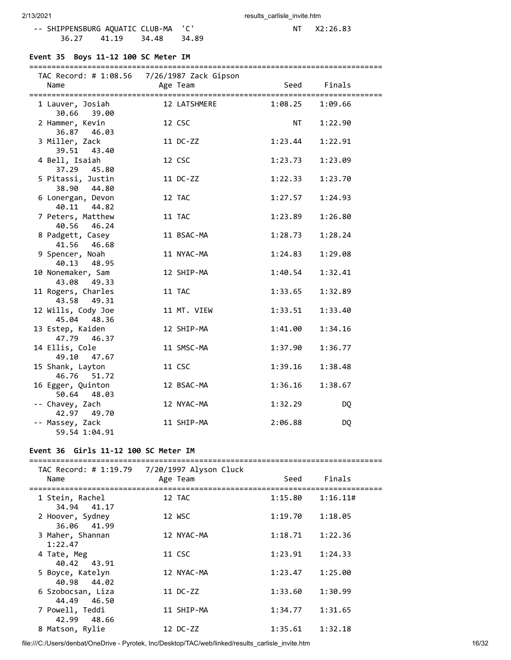-- SHIPPENSBURG AQUATIC CLUB-MA 'C' 0 136.27 41.19 34.48 34.89 36.27 41.19

### **Event 35 Boys 11-12 100 SC Meter IM**

|                                 | TAC Record: # 1:08.56  7/26/1987 Zack Gipson |           |           |
|---------------------------------|----------------------------------------------|-----------|-----------|
| Name                            | Age Team                                     | Seed      | Finals    |
|                                 |                                              |           |           |
| 1 Lauver, Josiah<br>30.66 39.00 | 12 LATSHMERE                                 | 1:08.25   | 1:09.66   |
| 2 Hammer, Kevin                 | 12 CSC                                       | <b>NT</b> | 1:22.90   |
| 36.87 46.03                     |                                              |           |           |
| 3 Miller, Zack                  | 11 DC-ZZ                                     | 1:23.44   | 1:22.91   |
| 39.51 43.40                     |                                              |           |           |
| 4 Bell, Isaiah                  | 12 CSC                                       | 1:23.73   | 1:23.09   |
| 37.29 45.80                     |                                              |           |           |
| 5 Pitassi, Justin               | 11 DC-ZZ                                     | 1:22.33   | 1:23.70   |
| 38.90 44.80                     |                                              |           |           |
| 6 Lonergan, Devon               | 12 TAC                                       | 1:27.57   | 1:24.93   |
| 40.11 44.82                     |                                              |           |           |
| 7 Peters, Matthew               | 11 TAC                                       | 1:23.89   | 1:26.80   |
| 40.56 46.24                     |                                              |           |           |
| 8 Padgett, Casey                | 11 BSAC-MA                                   | 1:28.73   | 1:28.24   |
| 41.56 46.68                     |                                              |           |           |
| 9 Spencer, Noah                 | 11 NYAC-MA                                   | 1:24.83   | 1:29.08   |
| 40.13 48.95                     |                                              |           |           |
| 10 Nonemaker, Sam               | 12 SHIP-MA                                   | 1:40.54   | 1:32.41   |
| 43.08 49.33                     |                                              |           |           |
| 11 Rogers, Charles              | 11 TAC                                       | 1:33.65   | 1:32.89   |
| 43.58 49.31                     |                                              |           |           |
| 12 Wills, Cody Joe              | 11 MT. VIEW                                  | 1:33.51   | 1:33.40   |
| 45.04 48.36                     |                                              |           |           |
| 13 Estep, Kaiden                | 12 SHIP-MA                                   | 1:41.00   | 1:34.16   |
| 47.79 46.37                     |                                              |           |           |
| 14 Ellis, Cole                  | 11 SMSC-MA                                   | 1:37.90   | 1:36.77   |
| 49.10 47.67                     |                                              |           |           |
| 15 Shank, Layton                | 11 CSC                                       | 1:39.16   | 1:38.48   |
| 46.76 51.72                     |                                              |           |           |
| 16 Egger, Quinton               | 12 BSAC-MA                                   | 1:36.16   | 1:38.67   |
| 50.64 48.03                     |                                              |           |           |
| -- Chavey, Zach<br>42.97 49.70  | 12 NYAC-MA                                   | 1:32.29   | <b>DQ</b> |
| -- Massey, Zack                 | 11 SHIP-MA                                   | 2:06.88   |           |
| 59.54 1:04.91                   |                                              |           | DQ        |
|                                 |                                              |           |           |

#### **Event 36 Girls 11-12 100 SC Meter IM**

| TAC Record: # 1:19.79<br>Name       | 7/20/1997 Alyson Cluck<br>Age Team | Seed    | Finals   |
|-------------------------------------|------------------------------------|---------|----------|
| 1 Stein, Rachel<br>34.94 41.17      | 12 TAC                             | 1:15.80 | 1:16.11# |
| 2 Hoover, Sydney<br>36.06 41.99     | 12 WSC                             | 1:19.70 | 1:18.05  |
| 3 Maher, Shannan<br>1:22.47         | 12 NYAC-MA                         | 1:18.71 | 1:22.36  |
| 4 Tate, Meg<br>40.42 43.91          | 11 CSC                             | 1:23.91 | 1:24.33  |
| 5 Boyce, Katelyn<br>40.98 44.02     | 12 NYAC-MA                         | 1:23.47 | 1:25.00  |
| 6 Szobocsan, Liza<br>44.49<br>46.50 | 11 DC-ZZ                           | 1:33.60 | 1:30.99  |
| 7 Powell, Teddi<br>48.66<br>42.99   | 11 SHIP-MA                         | 1:34.77 | 1:31.65  |
| 8 Matson, Rylie                     | 12 DC-ZZ                           | 1:35.61 | 1:32.18  |

file:///C:/Users/denbat/OneDrive - Pyrotek, Inc/Desktop/TAC/web/linked/results\_carlisle\_invite.htm 16/32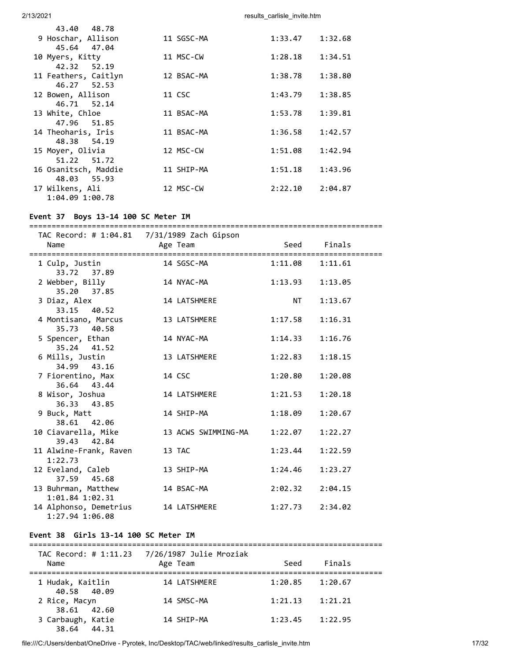| 43.40 48.78          |            |         |         |
|----------------------|------------|---------|---------|
| 9 Hoschar, Allison   | 11 SGSC-MA | 1:33.47 | 1:32.68 |
| 45.64 47.04          |            |         |         |
| 10 Myers, Kitty      | 11 MSC-CW  | 1:28.18 | 1:34.51 |
| 42.32 52.19          |            |         |         |
| 11 Feathers, Caitlyn | 12 BSAC-MA | 1:38.78 | 1:38.80 |
| 46.27 52.53          |            |         |         |
| 12 Bowen, Allison    | 11 CSC     | 1:43.79 | 1:38.85 |
| 46.71 52.14          |            |         |         |
| 13 White, Chloe      | 11 BSAC-MA | 1:53.78 | 1:39.81 |
| 47.96 51.85          |            |         |         |
| 14 Theoharis, Iris   | 11 BSAC-MA | 1:36.58 | 1:42.57 |
| 48.38 54.19          |            |         |         |
| 15 Moyer, Olivia     | 12 MSC-CW  | 1:51.08 | 1:42.94 |
| 51.22 51.72          |            |         |         |
| 16 Osanitsch, Maddie | 11 SHIP-MA | 1:51.18 | 1:43.96 |
| 48.03 55.93          |            |         |         |
| 17 Wilkens, Ali      | 12 MSC-CW  | 2:22.10 | 2:04.87 |
| 1:04.09 1:00.78      |            |         |         |
|                      |            |         |         |

#### **Event 37 Boys 13-14 100 SC Meter IM**

=============================================================================== TAC Record: # 1:04.81 7/31/1989 Zach Gipson Name Age Team Seed Finals =============================================================================== 1 Culp, Justin 14 SGSC-MA 1:11.08 1:11.61 33.72 37.89 2 Webber, Billy 14 NYAC-MA 1:13.93 1:13.05 35.20 37.85 3 Diaz, Alex 14 LATSHMERE NT 1:13.67 33.15 40.52 4 Montisano, Marcus 13 LATSHMERE 1:17.58 1:16.31 35.73 40.58 5 Spencer, Ethan 14 NYAC-MA 1:14.33 1:16.76 35.24 41.52 6 Mills, Justin 13 LATSHMERE 1:22.83 1:18.15 34.99 43.16 7 Fiorentino, Max 14 CSC 1:20.80 1:20.08 36.64 43.44 8 Wisor, Joshua 14 LATSHMERE 1:21.53 1:20.18 36.33 43.85 9 Buck, Matt 14 SHIP-MA 1:18.09 1:20.67 38.61 42.06 10 Ciavarella, Mike 13 ACWS SWIMMING-MA 1:22.07 1:22.27 39.43 42.84 11 Alwine-Frank, Raven 13 TAC 1:23.44 1:22.59 1:22.73 12 Eveland, Caleb 13 SHIP-MA 1:24.46 1:23.27 37.59 45.68 13 Buhrman, Matthew 14 BSAC-MA 2:02.32 2:04.15 1:01.84 1:02.31 14 Alphonso, Demetrius 14 LATSHMERE 1:27.73 2:34.02 1:27.94 1:06.08

#### **Event 38 Girls 13-14 100 SC Meter IM**

=============================================================================== TAC Record: # 1:11.23 7/26/1987 Julie Mroziak Name **Age Team** Age Team Seed Finals =============================================================================== 1 Hudak, Kaitlin 14 LATSHMERE 1:20.85 1:20.67 40.58 40.09 2 Rice, Macyn 14 SMSC-MA 1:21.13 1:21.21 38.61 42.60 3 Carbaugh, Katie 14 SHIP-MA 1:23.45 1:22.95 38.64 44.31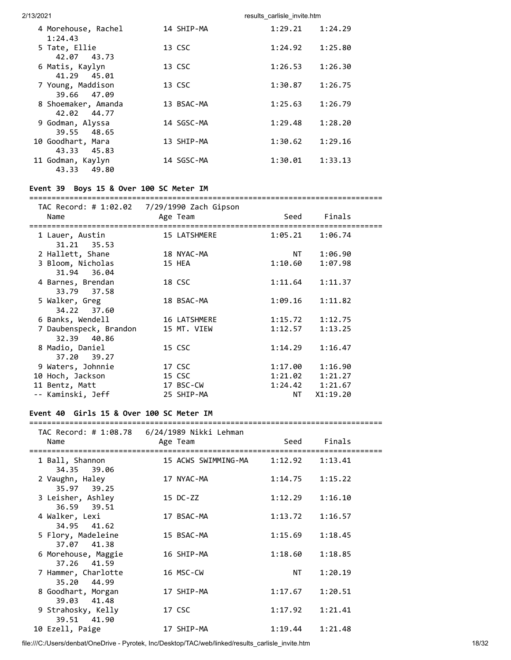| 4 Morehouse, Rachel<br>1:24.43                     | 14 SHIP-MA | 1:29.21 | 1:24.29 |
|----------------------------------------------------|------------|---------|---------|
| 5 Tate, Ellie<br>42.07 43.73                       | 13 CSC     | 1:24.92 | 1:25.80 |
| 6 Matis, Kaylyn<br>41.29 45.01                     | 13 CSC     | 1:26.53 | 1:26.30 |
| 7 Young, Maddison<br>39.66 47.09                   | 13 CSC     | 1:30.87 | 1:26.75 |
| 8 Shoemaker, Amanda<br>42.02 44.77                 | 13 BSAC-MA | 1:25.63 | 1:26.79 |
| 9 Godman, Alyssa<br>48.65<br>39.55                 | 14 SGSC-MA | 1:29.48 | 1:28.20 |
| 10 Goodhart, Mara                                  | 13 SHIP-MA | 1:30.62 | 1:29.16 |
| 43.33 45.83<br>11 Godman, Kaylyn<br>49.80<br>43.33 | 14 SGSC-MA | 1:30.01 | 1:33.13 |

### **Event 39 Boys 15 & Over 100 SC Meter IM**

#### ===============================================================================

| Name                           | Age Team     | Seed    | Finals   |  |
|--------------------------------|--------------|---------|----------|--|
|                                |              | 1:05.21 |          |  |
| 1 Lauer, Austin<br>31.21 35.53 | 15 LATSHMERE |         | 1:06.74  |  |
| 2 Hallett, Shane               | 18 NYAC-MA   | NT 1    | 1:06.90  |  |
| 3 Bloom, Nicholas              | 15 HEA       | 1:10.60 | 1:07.98  |  |
| 31.94 36.04                    |              |         |          |  |
| 4 Barnes, Brendan              | 18 CSC       | 1:11.64 | 1:11.37  |  |
| 33.79 37.58                    |              |         |          |  |
| 5 Walker, Greg                 | 18 BSAC-MA   | 1:09.16 | 1:11.82  |  |
| 34.22 37.60                    |              |         |          |  |
| 6 Banks, Wendell               | 16 LATSHMERE | 1:15.72 | 1:12.75  |  |
| 7 Daubenspeck, Brandon         | 15 MT. VIEW  | 1:12.57 | 1:13.25  |  |
| 32.39 40.86                    |              |         |          |  |
| 8 Madio, Daniel                | 15 CSC       | 1:14.29 | 1:16.47  |  |
| 37.20 39.27                    |              |         |          |  |
| 9 Waters, Johnnie              | 17 CSC       | 1:17.00 | 1:16.90  |  |
| 10 Hoch, Jackson               | 15 CSC       | 1:21.02 | 1:21.27  |  |
| 11 Bentz, Matt                 | 17 BSC-CW    | 1:24.42 | 1:21.67  |  |
| -- Kaminski, Jeff              | 25 SHIP-MA   | NT L    | X1:19.20 |  |

### **Event 40 Girls 15 & Over 100 SC Meter IM**

#### ===============================================================================

| Name                               | TAC Record: # 1:08.78    6/24/1989 Nikki Lehman<br>Age Team | Seed                                                                                                                                                                                                                           | Finals              |  |
|------------------------------------|-------------------------------------------------------------|--------------------------------------------------------------------------------------------------------------------------------------------------------------------------------------------------------------------------------|---------------------|--|
| 1 Ball, Shannon<br>34.35 39.06     |                                                             |                                                                                                                                                                                                                                |                     |  |
| 2 Vaughn, Haley<br>35.97 39.25     | 17 NYAC-MA                                                  |                                                                                                                                                                                                                                | $1:14.75$ $1:15.22$ |  |
| 3 Leisher, Ashley<br>36.59 39.51   | 15 DC-ZZ                                                    |                                                                                                                                                                                                                                | $1:12.29$ $1:16.10$ |  |
| 4 Walker, Lexi<br>34.95 41.62      | 17 BSAC-MA                                                  | 1:13.72                                                                                                                                                                                                                        | 1:16.57             |  |
| 5 Flory, Madeleine<br>37.07 41.38  | 15 BSAC-MA                                                  | $1:15.69$ $1:18.45$                                                                                                                                                                                                            |                     |  |
| 6 Morehouse, Maggie<br>37.26 41.59 | 16 SHIP-MA                                                  | 1:18.60                                                                                                                                                                                                                        | 1:18.85             |  |
| 7 Hammer, Charlotte<br>35.20 44.99 | 16 MSC-CW                                                   | NT FOR ALL THE STATE STATE STATE STATE STATE STATE STATE STATE STATE STATE STATE STATE STATE STATE STATE STATE STATE STATE STATE STATE STATE STATE STATE STATE STATE STATE STATE STATE STATE STATE STATE STATE STATE STATE STA | 1:20.19             |  |
| 8 Goodhart, Morgan<br>39.03 41.48  | 17 SHIP-MA                                                  | 1:17.67                                                                                                                                                                                                                        | 1:20.51             |  |
| 9 Strahosky, Kelly<br>39.51 41.90  | 17 CSC                                                      | $1:17.92$ $1:21.41$                                                                                                                                                                                                            |                     |  |
| 10 Ezell, Paige                    | 17 SHIP-MA                                                  | $1:19.44$ $1:21.48$                                                                                                                                                                                                            |                     |  |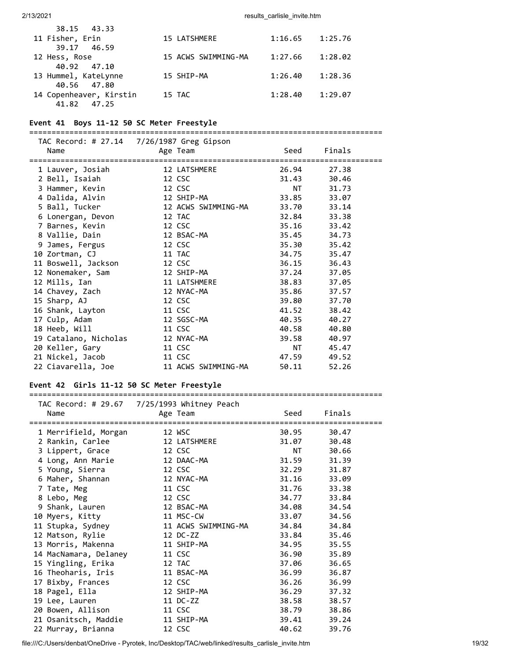| 38.15 43.33                    |                     |         |         |
|--------------------------------|---------------------|---------|---------|
| 11 Fisher, Erin<br>39.17 46.59 | 15 LATSHMERE        | 1:16.65 | 1:25.76 |
| 12 Hess, Rose                  | 15 ACWS SWIMMING-MA | 1:27.66 | 1:28.02 |
| 40.92 47.10                    |                     |         |         |
| 13 Hummel, KateLynne           | 15 SHIP-MA          | 1:26.40 | 1:28.36 |
| 40.56 47.80                    |                     |         |         |
| 14 Copenheaver, Kirstin        | 15 TAC              | 1:28.40 | 1:29.07 |
| 41.82 47.25                    |                     |         |         |

#### **Event 41 Boys 11-12 50 SC Meter Freestyle**

===============================================================================

| Name                  | Age Team            | Seed                                                                                                                                                                                                                           | Finals |  |
|-----------------------|---------------------|--------------------------------------------------------------------------------------------------------------------------------------------------------------------------------------------------------------------------------|--------|--|
| 1 Lauver, Josiah      | 12 LATSHMERE        | 26.94                                                                                                                                                                                                                          | 27.38  |  |
| 2 Bell, Isaiah        | 12 CSC              | 31.43                                                                                                                                                                                                                          | 30.46  |  |
| 3 Hammer, Kevin       | 12 CSC              | NT FOR THE STATE OF THE STATE OF THE STATE OF THE STATE OF THE STATE OF THE STATE OF THE STATE OF THE STATE OF THE STATE OF THE STATE OF THE STATE OF THE STATE OF THE STATE OF THE STATE OF THE STATE OF THE STATE OF THE STA | 31.73  |  |
| 4 Dalida, Alvin       | 12 SHIP-MA          | 33.85                                                                                                                                                                                                                          | 33.07  |  |
| 5 Ball, Tucker        | 12 ACWS SWIMMING-MA | 33.70                                                                                                                                                                                                                          | 33.14  |  |
| 6 Lonergan, Devon     | 12 TAC              | 32.84                                                                                                                                                                                                                          | 33.38  |  |
| 7 Barnes, Kevin       | 12 CSC              | 35.16                                                                                                                                                                                                                          | 33.42  |  |
| 8 Vallie, Dain        | 12 BSAC-MA          | 35.45                                                                                                                                                                                                                          | 34.73  |  |
| 9 James, Fergus       | 12 CSC              | 35.30                                                                                                                                                                                                                          | 35.42  |  |
| 10 Zortman, CJ        | 11 TAC              | 34.75                                                                                                                                                                                                                          | 35.47  |  |
| 11 Boswell, Jackson   | 12 CSC              | 36.15                                                                                                                                                                                                                          | 36.43  |  |
| 12 Nonemaker, Sam     | 12 SHIP-MA          | 37.24                                                                                                                                                                                                                          | 37.05  |  |
| 12 Mills, Ian         | 11 LATSHMERE        | 38.83                                                                                                                                                                                                                          | 37.05  |  |
| 14 Chavey, Zach       | 12 NYAC-MA          | 35.86                                                                                                                                                                                                                          | 37.57  |  |
| 15 Sharp, AJ          | 12 CSC              | 39.80                                                                                                                                                                                                                          | 37.70  |  |
| 16 Shank, Layton      | 11 CSC              | 41.52                                                                                                                                                                                                                          | 38.42  |  |
| 17 Culp, Adam         | 12 SGSC-MA          | 40.35                                                                                                                                                                                                                          | 40.27  |  |
| 18 Heeb, Will         | 11 CSC              | 40.58                                                                                                                                                                                                                          | 40.80  |  |
| 19 Catalano, Nicholas | 12 NYAC-MA          | 39.58                                                                                                                                                                                                                          | 40.97  |  |
| 20 Keller, Gary       | 11 CSC              | NT FOR THE STATE OF THE STATE OF THE STATE OF THE STATE OF THE STATE OF THE STATE OF THE STATE OF THE STATE OF THE STATE OF THE STATE OF THE STATE OF THE STATE OF THE STATE OF THE STATE OF THE STATE OF THE STATE OF THE STA | 45.47  |  |
| 21 Nickel, Jacob      | 11 CSC              | 47.59                                                                                                                                                                                                                          | 49.52  |  |
| 22 Ciavarella, Joe    | 11 ACWS SWIMMING-MA | 50.11                                                                                                                                                                                                                          | 52.26  |  |

## **Event 42 Girls 11-12 50 SC Meter Freestyle**

 TAC Record: # 29.67 7/25/1993 Whitney Peach Name Age Team Seed Finals =============================================================================== 1 Merrifield, Morgan 12 WSC 30.95 30.47 2 Rankin, Carlee 12 LATSHMERE 31.07 30.48 3 Lippert, Grace 12 CSC NT 30.66 4 Long, Ann Marie 12 DAAC-MA 31.59 31.39 5 Young, Sierra 12 CSC 32.29 31.87 6 Maher, Shannan 12 NYAC-MA 31.16 33.09 7 Tate, Meg 11 CSC 31.76 33.38 8 Lebo, Meg 12 CSC 34.77 33.84 9 Shank, Lauren 12 BSAC-MA 34.08 34.54 10 Myers, Kitty 11 MSC-CW 33.07 34.56 11 Stupka, Sydney 11 ACWS SWIMMING-MA 34.84 34.84 12 Matson, Rylie 12 DC-ZZ 33.84 35.46 13 Morris, Makenna 11 SHIP-MA 34.95 35.55 14 MacNamara, Delaney 11 CSC 36.90 35.89 15 Yingling, Erika 12 TAC 37.06 36.65 16 Theoharis, Iris 11 BSAC-MA 36.99 36.87 17 Bixby, Frances 12 CSC 36.26 36.99 18 Pagel, Ella 12 SHIP-MA 36.29 37.32 19 Lee, Lauren 11 DC-ZZ 38.58 38.57 20 Bowen, Allison 11 CSC 38.79 38.86 21 Osanitsch, Maddie 11 SHIP-MA 39.41 39.24 22 Murray, Brianna 12 CSC 40.62 39.76

===============================================================================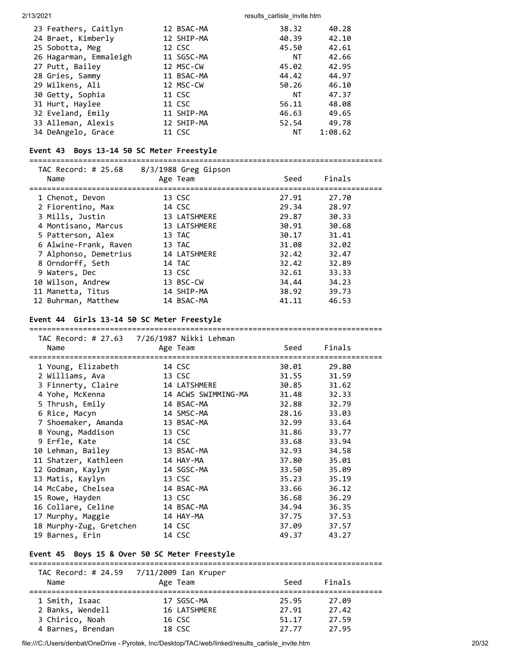| 23 Feathers, Caitlyn   | 12 BSAC-MA | 38.32 | 40.28   |
|------------------------|------------|-------|---------|
| 24 Braet, Kimberly     | 12 SHIP-MA | 40.39 | 42.10   |
| 25 Sobotta, Meg        | 12 CSC     | 45.50 | 42.61   |
| 26 Hagarman, Emmaleigh | 11 SGSC-MA | ΝT    | 42.66   |
| 27 Putt, Bailey        | 12 MSC-CW  | 45.02 | 42.95   |
| 28 Gries, Sammy        | 11 BSAC-MA | 44.42 | 44.97   |
| 29 Wilkens, Ali        | 12 MSC-CW  | 50.26 | 46.10   |
| 30 Getty, Sophia       | 11 CSC     | ΝT    | 47.37   |
| 31 Hurt, Haylee        | 11 CSC     | 56.11 | 48.08   |
| 32 Eveland, Emily      | 11 SHIP-MA | 46.63 | 49.65   |
| 33 Alleman, Alexis     | 12 SHIP-MA | 52.54 | 49.78   |
| 34 DeAngelo, Grace     | 11 CSC     | ΝT    | 1:08.62 |

### **Event 43 Boys 13-14 50 SC Meter Freestyle**

===============================================================================

| TAC Record: # 25.68<br>Name | 8/3/1988 Greg Gipson<br>Age Team | Seed  | Finals |  |
|-----------------------------|----------------------------------|-------|--------|--|
| 1 Chenot, Devon             | 13 CSC                           | 27.91 | 27.70  |  |
| 2 Fiorentino, Max           | 14 CSC                           | 29.34 | 28.97  |  |
| 3 Mills, Justin             | 13 LATSHMERE                     | 29.87 | 30.33  |  |
| 4 Montisano, Marcus         | 13 LATSHMERE                     | 30.91 | 30.68  |  |
| 5 Patterson, Alex           | 13 TAC                           | 30.17 | 31.41  |  |
| 6 Alwine-Frank, Raven       | 13 TAC                           | 31.08 | 32.02  |  |
| 7 Alphonso, Demetrius       | 14 LATSHMERE                     | 32.42 | 32.47  |  |
| 8 Orndorff, Seth            | 14 TAC                           | 32.42 | 32.89  |  |
| 9 Waters, Dec               | 13 CSC                           | 32.61 | 33.33  |  |
| 10 Wilson, Andrew           | 13 BSC-CW                        | 34.44 | 34.23  |  |
| 11 Manetta, Titus           | 14 SHIP-MA                       | 38.92 | 39.73  |  |
| 12 Buhrman, Matthew         | 14 BSAC-MA                       | 41.11 | 46.53  |  |

### **Event 44 Girls 13-14 50 SC Meter Freestyle**

| Name                    | Age Team            | Seed  | Finals |
|-------------------------|---------------------|-------|--------|
|                         |                     |       |        |
| 1 Young, Elizabeth      | 14 CSC              | 30.01 | 29.80  |
| 2 Williams, Ava         | 13 CSC              | 31.55 | 31.59  |
| 3 Finnerty, Claire      | 14 LATSHMERE        | 30.85 | 31.62  |
| 4 Yohe, McKenna         | 14 ACWS SWIMMING-MA | 31.48 | 32.33  |
| 5 Thrush, Emily         | 14 BSAC-MA          | 32.88 | 32.79  |
| 6 Rice, Macyn           | 14 SMSC-MA          | 28.16 | 33.03  |
| 7 Shoemaker, Amanda     | 13 BSAC-MA          | 32.99 | 33.64  |
| 8 Young, Maddison       | 13 CSC              | 31.86 | 33.77  |
| 9 Erfle, Kate           | 14 CSC              | 33.68 | 33.94  |
| 10 Lehman, Bailey       | 13 BSAC-MA          | 32.93 | 34.58  |
| 11 Shatzer, Kathleen    | 14 HAY-MA           | 37.80 | 35.01  |
| 12 Godman, Kaylyn       | 14 SGSC-MA          | 33.50 | 35.09  |
| 13 Matis, Kaylyn        | 13 CSC              | 35.23 | 35.19  |
| 14 McCabe, Chelsea      | 14 BSAC-MA          | 33.66 | 36.12  |
| 15 Rowe, Hayden         | 13 CSC              | 36.68 | 36.29  |
| 16 Collare, Celine      | 14 BSAC-MA          | 34.94 | 36.35  |
| 17 Murphy, Maggie       | 14 HAY-MA           | 37.75 | 37.53  |
| 18 Murphy-Zug, Gretchen | 14 CSC              | 37.09 | 37.57  |
| 19 Barnes, Erin         | 14 CSC              | 49.37 | 43.27  |

# **Event 45 Boys 15 & Over 50 SC Meter Freestyle**

| Name              | TAC Record: # 24.59 7/11/2009 Ian Kruper<br>Age Team | Seed  | Finals |  |
|-------------------|------------------------------------------------------|-------|--------|--|
| 1 Smith, Isaac    | 17 SGSC-MA                                           | 25.95 | 27.09  |  |
| 2 Banks, Wendell  | 16 LATSHMERE                                         | 27.91 | 27.42  |  |
| 3 Chirico, Noah   | 16 CSC                                               | 51.17 | 27.59  |  |
| 4 Barnes, Brendan | 18 CSC                                               | 27.77 | 27.95  |  |

file:///C:/Users/denbat/OneDrive - Pyrotek, Inc/Desktop/TAC/web/linked/results\_carlisle\_invite.htm 20/32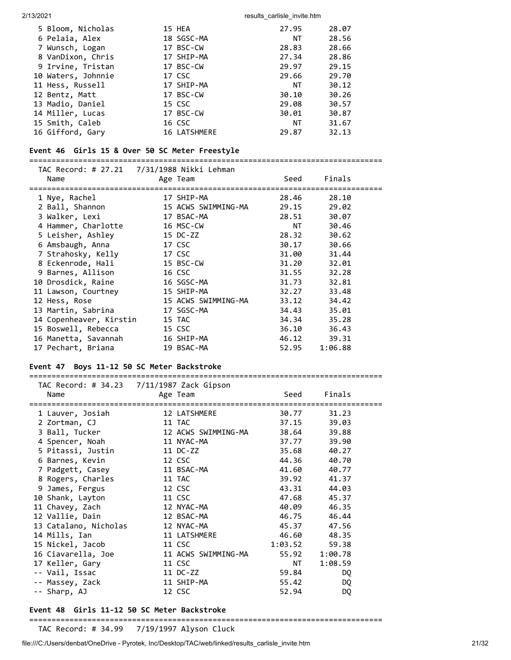| 5 Bloom, Nicholas  | 15 HEA       | 27.95 | 28.07 |
|--------------------|--------------|-------|-------|
| 6 Pelaia, Alex     | 18 SGSC-MA   | NT.   | 28.56 |
| 7 Wunsch, Logan    | 17 BSC-CW    | 28.83 | 28.66 |
| 8 VanDixon, Chris  | 17 SHIP-MA   | 27.34 | 28.86 |
| 9 Irvine, Tristan  | 17 BSC-CW    | 29.97 | 29.15 |
| 10 Waters, Johnnie | 17 CSC       | 29.66 | 29.70 |
| 11 Hess, Russell   | 17 SHIP-MA   | NT.   | 30.12 |
| 12 Bentz, Matt     | 17 BSC-CW    | 30.10 | 30.26 |
| 13 Madio, Daniel   | 15 CSC       | 29.08 | 30.57 |
| 14 Miller, Lucas   | 17 BSC-CW    | 30.01 | 30.87 |
| 15 Smith, Caleb    | 16 CSC       | ΝT    | 31.67 |
| 16 Gifford, Gary   | 16 LATSHMERE | 29.87 | 32.13 |

### **Event 46 Girls 15 & Over 50 SC Meter Freestyle**

===============================================================================

| Name                    | Age Team            | Seed  | Finals                                                                                                                                                                                                                                  |  |
|-------------------------|---------------------|-------|-----------------------------------------------------------------------------------------------------------------------------------------------------------------------------------------------------------------------------------------|--|
| 1 Nye, Rachel           | 17 SHIP-MA          | 28.46 | 28.10                                                                                                                                                                                                                                   |  |
| 2 Ball, Shannon         | 15 ACWS SWIMMING-MA | 29.15 | 29.02                                                                                                                                                                                                                                   |  |
| 3 Walker, Lexi          | 17 BSAC-MA          | 28.51 | 30.07                                                                                                                                                                                                                                   |  |
| 4 Hammer, Charlotte     | 16 MSC-CW           |       | NT FOR THE STATE OF THE STATE OF THE STATE OF THE STATE OF THE STATE OF THE STATE OF THE STATE OF THE STATE OF THE STATE OF THE STATE OF THE STATE OF THE STATE OF THE STATE OF THE STATE OF THE STATE OF THE STATE OF THE STA<br>30.46 |  |
| 5 Leisher, Ashley       | 15 DC-ZZ            | 28.32 | 30.62                                                                                                                                                                                                                                   |  |
| 6 Amsbaugh, Anna        | 17 CSC              | 30.17 | 30.66                                                                                                                                                                                                                                   |  |
| 7 Strahosky, Kelly      | 17 CSC              | 31.00 | 31.44                                                                                                                                                                                                                                   |  |
| 8 Eckenrode, Hali       | 15 BSC-CW           | 31.20 | 32.01                                                                                                                                                                                                                                   |  |
| 9 Barnes, Allison       | 16 CSC              | 31.55 | 32.28                                                                                                                                                                                                                                   |  |
| 10 Drosdick, Raine      | 16 SGSC-MA          | 31.73 | 32.81                                                                                                                                                                                                                                   |  |
| 11 Lawson, Courtney     | 15 SHIP-MA          | 32.27 | 33.48                                                                                                                                                                                                                                   |  |
| 12 Hess, Rose           | 15 ACWS SWIMMING-MA | 33.12 | 34.42                                                                                                                                                                                                                                   |  |
| 13 Martin, Sabrina      | 17 SGSC-MA          | 34.43 | 35.01                                                                                                                                                                                                                                   |  |
| 14 Copenheaver, Kirstin | 15 TAC              | 34.34 | 35.28                                                                                                                                                                                                                                   |  |
| 15 Boswell, Rebecca     | 15 CSC              | 36.10 | 36.43                                                                                                                                                                                                                                   |  |
| 16 Manetta, Savannah    | 16 SHIP-MA          | 46.12 | 39.31                                                                                                                                                                                                                                   |  |
| 17 Pechart, Briana      | 19 BSAC-MA          | 52.95 | 1:06.88                                                                                                                                                                                                                                 |  |

## **Event 47 Boys 11-12 50 SC Meter Backstroke**

| Name                  | Age Team            | Seed                        | Finals  |
|-----------------------|---------------------|-----------------------------|---------|
|                       |                     |                             |         |
| 1 Lauver, Josiah      | 12 LATSHMERE        | 30.77                       | 31.23   |
| 2 Zortman, CJ         | 11 TAC              | 37.15                       | 39.03   |
| 3 Ball, Tucker        | 12 ACWS SWIMMING-MA | 38.64                       | 39.88   |
| 4 Spencer, Noah       | 11 NYAC-MA          | 37.77                       | 39.90   |
| 5 Pitassi, Justin     | 11 DC-ZZ            | 35.68                       | 40.27   |
| 6 Barnes, Kevin       | 12 CSC              | 44.36                       | 40.70   |
| 7 Padgett, Casey      | 11 BSAC-MA          | 41.60                       | 40.77   |
| 8 Rogers, Charles     | 11 TAC              | 39.92                       | 41.37   |
| 9 James, Fergus       | 12 CSC              | 43.31                       | 44.03   |
| 10 Shank, Layton      | 11 CSC              | 47.68                       | 45.37   |
| 11 Chavey, Zach       | 12 NYAC-MA          | 40.09                       | 46.35   |
| 12 Vallie, Dain       | 12 BSAC-MA          | 46.75                       | 46.44   |
| 13 Catalano, Nicholas | 12 NYAC-MA          | 45.37                       | 47.56   |
| 14 Mills, Ian         | 11 LATSHMERE        | 46.60                       | 48.35   |
| 15 Nickel, Jacob      | 11 CSC              | 1:03.52                     | 59.38   |
| 16 Ciavarella, Joe    | 11 ACWS SWIMMING-MA | 55.92                       | 1:00.78 |
| 17 Keller, Gary       | 11 CSC              | NT FOR ALL THE STATE STATES | 1:08.59 |
| -- Vail, Issac        | 11 DC-ZZ            | 59.84                       | DQ.     |
| -- Massey, Zack       | 11 SHIP-MA          | 55.42                       | DQ      |
| -- Sharp, AJ          | 12 CSC              | 52.94                       | DQ      |

### **Event 48 Girls 11-12 50 SC Meter Backstroke**

===============================================================================

TAC Record: # 34.99 7/19/1997 Alyson Cluck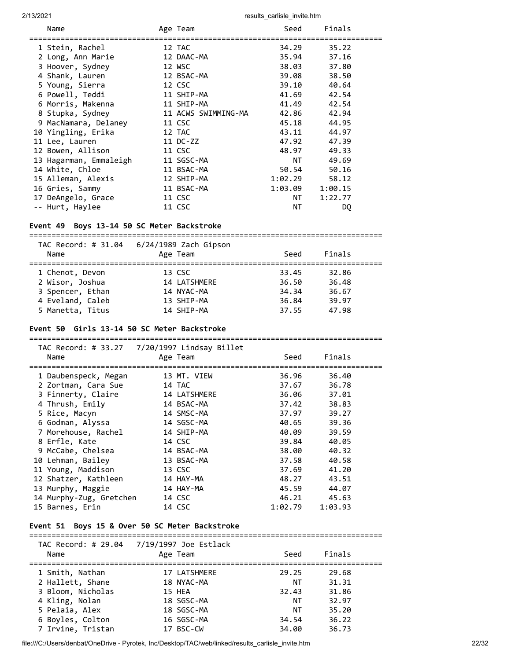| Name                   | Age Team            | Seed    | Finals  |
|------------------------|---------------------|---------|---------|
| 1 Stein, Rachel        | 12 TAC              | 34.29   | 35.22   |
| 2 Long, Ann Marie      | 12 DAAC-MA          | 35.94   | 37.16   |
| 3 Hoover, Sydney       | 12 WSC              | 38.03   | 37.80   |
| 4 Shank, Lauren        | 12 BSAC-MA          | 39.08   | 38.50   |
| 5 Young, Sierra        | 12 CSC              | 39.10   | 40.64   |
| 6 Powell, Teddi        | 11 SHIP-MA          | 41.69   | 42.54   |
| 6 Morris, Makenna      | 11 SHIP-MA          | 41.49   | 42.54   |
| 8 Stupka, Sydney       | 11 ACWS SWIMMING-MA | 42.86   | 42.94   |
| 9 MacNamara, Delaney   | 11 CSC              | 45.18   | 44.95   |
| 10 Yingling, Erika     | 12 TAC              | 43.11   | 44.97   |
| 11 Lee, Lauren         | 11 DC-ZZ            | 47.92   | 47.39   |
| 12 Bowen, Allison      | 11 CSC              | 48.97   | 49.33   |
| 13 Hagarman, Emmaleigh | 11 SGSC-MA          | NT.     | 49.69   |
| 14 White, Chloe        | 11 BSAC-MA          | 50.54   | 50.16   |
| 15 Alleman, Alexis     | 12 SHIP-MA          | 1:02.29 | 58.12   |
| 16 Gries, Sammy        | 11 BSAC-MA          | 1:03.09 | 1:00.15 |
| 17 DeAngelo, Grace     | 11 CSC              | NT      | 1:22.77 |
| -- Hurt, Haylee        | 11 CSC              | ΝT      | DQ      |

#### **Event 49 Boys 13-14 50 SC Meter Backstroke**

| TAC Record: # 31.04<br>Name        | 6/24/1989 Zach Gipson<br>Age Team | Seed           | Finals         |  |
|------------------------------------|-----------------------------------|----------------|----------------|--|
| 1 Chenot, Devon<br>2 Wisor, Joshua | 13 CSC<br>14 LATSHMERE            | 33.45<br>36.50 | 32.86<br>36.48 |  |
| 3 Spencer, Ethan                   | 14 NYAC-MA                        | 34.34          | 36.67          |  |
| 4 Eveland, Caleb                   | 13 SHIP-MA                        | 36.84          | 39.97          |  |
| 5 Manetta, Titus                   | 14 SHIP-MA                        | 37.55          | 47.98          |  |

#### **Event 50 Girls 13-14 50 SC Meter Backstroke**

=============================================================================== TAC Record: # 33.27 7/20/1997 Lindsay Billet Name Age Team Age Team Seed Finals =============================================================================== 1 Daubenspeck, Megan 13 MT. VIEW 36.96 36.40 2 Zortman, Cara Sue 14 TAC 37.67 36.78 3 Finnerty, Claire 14 LATSHMERE 36.06 37.01 4 Thrush, Emily 14 BSAC-MA 37.42 38.83 5 Rice, Macyn 14 SMSC-MA 37.97 39.27 6 Godman, Alyssa 14 SGSC-MA 40.65 39.36 7 Morehouse, Rachel 14 SHIP-MA 40.09 39.59 8 Erfle, Kate 14 CSC 39.84 40.05 9 McCabe, Chelsea 14 BSAC-MA 38.00 40.32 10 Lehman, Bailey 13 BSAC-MA 37.58 40.58 11 Young, Maddison 13 CSC 37.69 41.20

| 12 Shatzer, Kathleen    | 14 HAY-MA | 48.27   | 43.51   |
|-------------------------|-----------|---------|---------|
| 13 Murphy, Maggie       | 14 HAY-MA | 45.59   | 44.07   |
| 14 Murphy-Zug, Gretchen | 14 CSC    | 46.21   | 45.63   |
| 15 Barnes, Erin         | 14 CSC    | 1:02.79 | 1:03.93 |
|                         |           |         |         |

#### **Event 51 Boys 15 & Over 50 SC Meter Backstroke**

| TAC Record: # 29.04<br>Name | 7/19/1997 Joe Estlack<br>Age Team | Seed  | Finals |  |
|-----------------------------|-----------------------------------|-------|--------|--|
| 1 Smith, Nathan             | 17 LATSHMERE                      | 29.25 | 29.68  |  |
| 2 Hallett, Shane            | 18 NYAC-MA                        | ΝT    | 31.31  |  |
| 3 Bloom, Nicholas           | 15 HEA                            | 32.43 | 31.86  |  |
| 4 Kling, Nolan              | 18 SGSC-MA                        | ΝT    | 32.97  |  |
| 5 Pelaia, Alex              | 18 SGSC-MA                        | ΝT    | 35.20  |  |
| 6 Boyles, Colton            | 16 SGSC-MA                        | 34.54 | 36.22  |  |
| 7 Irvine, Tristan           | 17 BSC-CW                         | 34.00 | 36.73  |  |

===============================================================================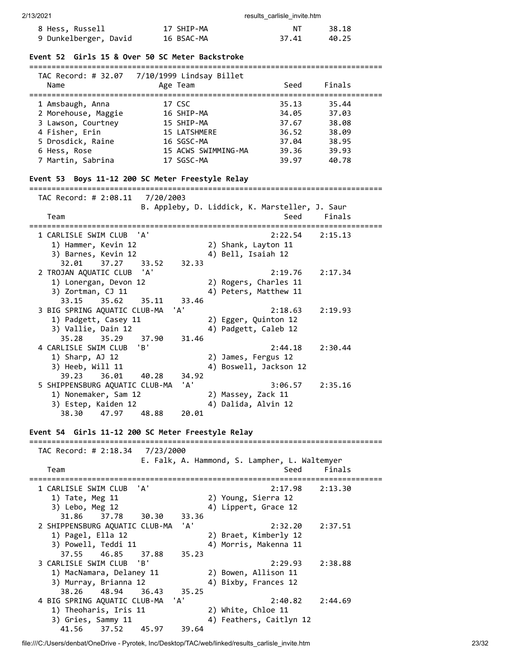| 2/13/2021                                            |                                                             | results carlisle invite.htm                  |                              |
|------------------------------------------------------|-------------------------------------------------------------|----------------------------------------------|------------------------------|
| 8 Hess, Russell                                      | 17 SHIP-MA                                                  | NΤ                                           | 38.18                        |
| 9 Dunkelberger, David 16 BSAC-MA                     |                                                             | 37.41                                        | 40.25                        |
| Event 52 Girls 15 & Over 50 SC Meter Backstroke      |                                                             |                                              |                              |
|                                                      |                                                             |                                              |                              |
|                                                      |                                                             |                                              |                              |
| Name                                                 | Age Team                                                    | Seed                                         | Finals                       |
| 1 Amsbaugh, Anna                                     | 17 CSC                                                      | 35.13                                        | 35.44                        |
| 2 Morehouse, Maggie                                  | 16 SHIP-MA                                                  | 34.05                                        | 37.03                        |
| 3 Lawson, Courtney                                   | 15 SHIP-MA                                                  | 37.67                                        | 38.08                        |
| 4 Fisher, Erin                                       | 15 LATSHMERE                                                | 36.52                                        | 38.09                        |
| 5 Drosdick, Raine                                    | 16 SGSC-MA                                                  | 37.04                                        | 38.95                        |
| 6 Hess, Rose                                         | 15 ACWS SWIMMING-MA                                         | 39.36                                        | 39.93                        |
| 7 Martin, Sabrina                                    | 17 SGSC-MA                                                  | 39.97                                        | 40.78                        |
| Event 53 Boys 11-12 200 SC Meter Freestyle Relay     |                                                             |                                              |                              |
| ------------------------                             |                                                             |                                              |                              |
| TAC Record: # 2:08.11                                | 7/20/2003<br>B. Appleby, D. Liddick, K. Marsteller, J. Saur |                                              |                              |
| Team                                                 |                                                             | Seed                                         | Finals                       |
|                                                      |                                                             |                                              | . ========================== |
| 1 CARLISLE SWIM CLUB 'A'                             |                                                             | 2:22.54                                      | 2:15.13                      |
| 1) Hammer, Kevin 12                                  | 2) Shank, Layton 11                                         |                                              |                              |
| 3) Barnes, Kevin 12                                  | 4) Bell, Isaiah 12                                          |                                              |                              |
| 32.01<br>37.27<br>33.52                              | 32.33                                                       |                                              |                              |
| 2 TROJAN AQUATIC CLUB<br>'A'                         |                                                             | 2:19.76                                      | 2:17.34                      |
| 1) Lonergan, Devon 12                                |                                                             | 2) Rogers, Charles 11                        |                              |
| 3) Zortman, CJ 11                                    |                                                             | 4) Peters, Matthew 11                        |                              |
| 35.62<br>33.15<br>35.11                              | 33.46<br>'A'                                                |                                              |                              |
| 3 BIG SPRING AQUATIC CLUB-MA<br>1) Padgett, Casey 11 |                                                             | 2:18.63                                      | 2:19.93                      |
| 3) Vallie, Dain 12                                   |                                                             | 2) Egger, Quinton 12<br>4) Padgett, Caleb 12 |                              |
| 35.28<br>37.90<br>35.29                              | 31.46                                                       |                                              |                              |
| 4 CARLISLE SWIM CLUB<br>'B'                          |                                                             | 2:44.18                                      | 2:30.44                      |
| 1) Sharp, AJ 12                                      | 2) James, Fergus 12                                         |                                              |                              |
| 3) Heeb, Will 11                                     |                                                             | 4) Boswell, Jackson 12                       |                              |
| 39.23<br>36.01<br>40.28                              | 34.92                                                       |                                              |                              |
| 5 SHIPPENSBURG AQUATIC CLUB-MA                       | 'A'                                                         | 3:06.57                                      | 2:35.16                      |
| 1) Nonemaker, Sam 12                                 | 2) Massey, Zack 11                                          |                                              |                              |
| 3) Estep, Kaiden 12                                  | 4) Dalida, Alvin 12                                         |                                              |                              |
| 47.97<br>38.30<br>48.88                              | 20.01                                                       |                                              |                              |
| Event 54 Girls 11-12 200 SC Meter Freestyle Relay    |                                                             |                                              |                              |
|                                                      |                                                             |                                              |                              |
| TAC Record: # 2:18.34 7/23/2000                      | E. Falk, A. Hammond, S. Lampher, L. Waltemyer               |                                              |                              |
| Team                                                 |                                                             | Seed                                         | Finals                       |
|                                                      |                                                             |                                              | ==========================   |
| 'A'<br>1 CARLISLE SWIM CLUB                          |                                                             | 2:17.98                                      | 2:13.30                      |
| 1) Tate, Meg 11                                      | 2) Young, Sierra 12                                         |                                              |                              |
| 3) Lebo, Meg 12                                      |                                                             | 4) Lippert, Grace 12                         |                              |
| 31.86<br>37.78<br>30.30                              | 33.36                                                       |                                              |                              |
| 2 SHIPPENSBURG AQUATIC CLUB-MA                       | 'A'                                                         | 2:32.20                                      | 2:37.51                      |
| 1) Pagel, Ella 12                                    |                                                             | 2) Braet, Kimberly 12                        |                              |
| 3) Powell, Teddi 11                                  |                                                             | 4) Morris, Makenna 11                        |                              |
| 37.55<br>46.85<br>37.88                              | 35.23                                                       |                                              |                              |
| 3 CARLISLE SWIM CLUB<br>'B'                          |                                                             | 2:29.93                                      | 2:38.88                      |
| 1) MacNamara, Delaney 11                             |                                                             | 2) Bowen, Allison 11<br>4) Bixby, Frances 12 |                              |
| 3) Murray, Brianna 12<br>38.26<br>48.94<br>36.43     | 35.25                                                       |                                              |                              |
| 4 BIG SPRING AQUATIC CLUB-MA                         | 'A'                                                         | 2:40.82                                      | 2:44.69                      |
| 1) Theoharis, Iris 11                                | 2) White, Chloe 11                                          |                                              |                              |

41.56 37.52 45.97 39.64

3) Gries, Sammy 11 4) Feathers, Caitlyn 12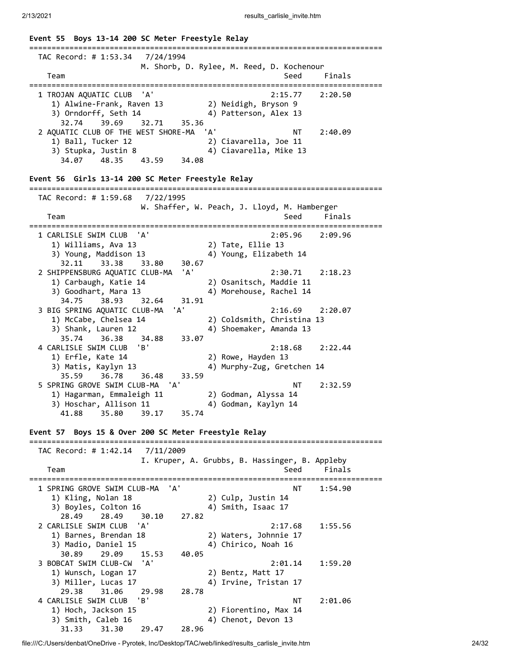| Event 55 Boys 13-14 200 SC Meter Freestyle Relay                                                                                          |                                                                                                                                    |
|-------------------------------------------------------------------------------------------------------------------------------------------|------------------------------------------------------------------------------------------------------------------------------------|
| TAC Record: # 1:53.34                                                                                                                     | 7/24/1994<br>M. Shorb, D. Rylee, M. Reed, D. Kochenour                                                                             |
| Team                                                                                                                                      | Seed<br>Finals<br>==========                                                                                                       |
| 1 TROJAN AQUATIC CLUB<br>'A'<br>1) Alwine-Frank, Raven 13<br>3) Orndorff, Seth 14<br>32.74<br>39.69<br>32.71                              | 2:15.77<br>2:20.50<br>2) Neidigh, Bryson 9<br>4) Patterson, Alex 13<br>35.36                                                       |
| 2 AQUATIC CLUB OF THE WEST SHORE-MA<br>1) Ball, Tucker 12<br>3) Stupka, Justin 8<br>34.07 48.35<br>43.59                                  | 'A'<br>NT<br>2:40.09<br>2) Ciavarella, Joe 11<br>4) Ciavarella, Mike 13<br>34.08                                                   |
| Event 56 Girls 13-14 200 SC Meter Freestyle Relay                                                                                         |                                                                                                                                    |
| TAC Record: # 1:59.68<br>Team                                                                                                             | 7/22/1995<br>W. Shaffer, W. Peach, J. Lloyd, M. Hamberger<br>Finals<br>Seed                                                        |
| 1 CARLISLE SWIM CLUB<br>'A'                                                                                                               | 2:05.96<br>2:09.96                                                                                                                 |
| 1) Williams, Ava 13<br>3) Young, Maddison 13                                                                                              | 2) Tate, Ellie 13<br>4) Young, Elizabeth 14                                                                                        |
| 32.11<br>33.38<br>33.80<br>2 SHIPPENSBURG AQUATIC CLUB-MA<br>1) Carbaugh, Katie 14<br>3) Goodhart, Mara 13<br>34.75<br>38.93<br>32.64     | 30.67<br>'A'<br>2:30.71<br>2:18.23<br>2) Osanitsch, Maddie 11<br>4) Morehouse, Rachel 14<br>31.91                                  |
| 3 BIG SPRING AQUATIC CLUB-MA<br>1) McCabe, Chelsea 14<br>3) Shank, Lauren 12<br>35.74<br>36.38<br>34.88                                   | 'A'<br>2:16.69<br>2:20.07<br>2) Coldsmith, Christina 13<br>4) Shoemaker, Amanda 13<br>33.07                                        |
| 4 CARLISLE SWIM CLUB<br>'B'<br>1) Erfle, Kate 14<br>3) Matis, Kaylyn 13<br>35.59<br>36.78<br>36.48                                        | 2:22.44<br>2:18.68<br>2) Rowe, Hayden 13<br>4) Murphy-Zug, Gretchen 14<br>33.59                                                    |
| 5 SPRING GROVE SWIM CLUB-MA<br>1) Hagarman, Emmaleigh 11<br>3) Hoschar, Allison 11<br>41.88<br>35.80<br>39.17                             | 'A'<br>NT<br>2:32.59<br>2) Godman, Alyssa 14<br>4) Godman, Kaylyn 14<br>35.74                                                      |
| Event 57 Boys 15 & Over 200 SC Meter Freestyle Relay                                                                                      |                                                                                                                                    |
| TAC Record: # 1:42.14                                                                                                                     | 7/11/2009                                                                                                                          |
| Team                                                                                                                                      | I. Kruper, A. Grubbs, B. Hassinger, B. Appleby<br>Finals<br>Seed                                                                   |
| ;================================<br>1 SPRING GROVE SWIM CLUB-MA<br>1) Kling, Nolan 18<br>3) Boyles, Colton 16<br>28.49<br>28.49<br>30.10 | ================================<br>-----------------<br>'A'<br>NΤ<br>1:54.90<br>2) Culp, Justin 14<br>4) Smith, Isaac 17<br>27.82 |
| 2 CARLISLE SWIM CLUB<br>'A'<br>1) Barnes, Brendan 18<br>3) Madio, Daniel 15                                                               | 2:17.68<br>1:55.56<br>2) Waters, Johnnie 17<br>4) Chirico, Noah 16                                                                 |
| 30.89<br>29.09<br>15.53<br>'A'<br>3 BOBCAT SWIM CLUB-CW<br>1) Wunsch, Logan 17<br>3) Miller, Lucas 17                                     | 40.05<br>2:01.14<br>1:59.20<br>2) Bentz, Matt 17<br>4) Irvine, Tristan 17                                                          |
| 29.38<br>31.06<br>29.98<br>4 CARLISLE SWIM CLUB<br>'B'<br>1) Hoch, Jackson 15<br>3) Smith, Caleb 16<br>31.33<br>31.30                     | 28.78<br>ΝT<br>2:01.06<br>2) Fiorentino, Max 14<br>4) Chenot, Devon 13<br>29.47<br>28.96                                           |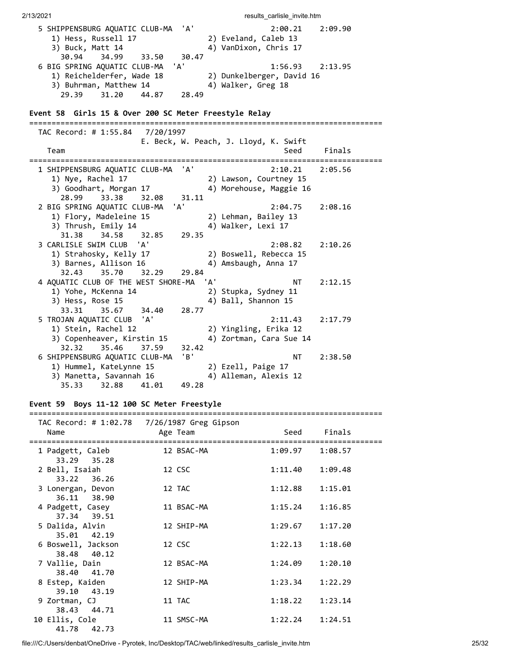2/13/2021 **results** carlisle invite.htm 5 SHIPPENSBURG AQUATIC CLUB-MA 'A' 2:00.21 2:09.90 1) Hess, Russell 17 (2) Eveland, Caleb 13<br>3) Buck, Matt 14 (4) VanDixon, Chris 17 4) VanDixon, Chris 17 30.94 34.99 33.50 30.47 6 BIG SPRING AQUATIC CLUB-MA 'A' 1:56.93 2:13.95 1) Reichelderfer, Wade 18 2) Dunkelberger, David 16 3) Buhrman, Matthew 14 (4) Walker, Greg 18 29.39 31.20 44.87 28.49 **Event 58 Girls 15 & Over 200 SC Meter Freestyle Relay** =============================================================================== TAC Record: # 1:55.84 7/20/1997 E. Beck, W. Peach, J. Lloyd, K. Swift Team Seed Finals =============================================================================== 1 SHIPPENSBURG AQUATIC CLUB-MA 'A' 2:10.21 2:05.56 1) Nye, Rachel 17 2) Lawson, Courtney 15 3) Goodhart, Morgan 17 4) Morehouse, Maggie 16 28.99 33.38 32.08 31.11 2 BIG SPRING AQUATIC CLUB-MA 'A' 2:04.75 2:08.16 1) Flory, Madeleine 15 2) Lehman, Bailey 13 3) Thrush, Emily 14 4) Walker, Lexi 17 31.38 34.58 32.85 29.35 3 CARLISLE SWIM CLUB 'A' 2:08.82 2:10.26 1) Strahosky, Kelly 17 2) Boswell, Rebecca 15 3) Barnes, Allison 16 4) Amsbaugh, Anna 17 32.43 35.70 32.29 29.84 4 AQUATIC CLUB OF THE WEST SHORE-MA 'A' NT 2:12.15 1) Yohe, McKenna 14 2) Stupka, Sydney 11 3) Hess, Rose 15 4) Ball, Shannon 15 33.31 35.67 34.40 28.77 5 TROJAN AQUATIC CLUB 'A' 2:11.43 2:17.79 1) Stein, Rachel 12 2) Yingling, Erika 12  $3)$  Copenheaver, Kirstin 15  $4)$  Zortman, Cara Sue 14 32.32 35.46 37.59 32.42 6 SHIPPENSBURG AQUATIC CLUB-MA 'B' NT 2:38.50 1) Hummel, KateLynne 15 2) Ezell, Paige 17 3) Manetta, Savannah 16 4) Alleman, Alexis 12 35.33 32.88 41.01 49.28

#### **Event 59 Boys 11-12 100 SC Meter Freestyle**

| Name                              | TAC Record: # 1:02.78 7/26/1987 Greg Gipson<br>Age Team |                     | Seed Finals |
|-----------------------------------|---------------------------------------------------------|---------------------|-------------|
| 1 Padgett, Caleb<br>33.29 35.28   | 12 BSAC-MA                                              | $1:09.97$ $1:08.57$ |             |
| 2 Bell, Isaiah<br>33.22 36.26     | 12 CSC                                                  | 1:11.40             | 1:09.48     |
| 3 Lonergan, Devon<br>36.11 38.90  | 12 TAC                                                  | 1:12.88             | 1:15.01     |
| 4 Padgett, Casey<br>37.34 39.51   | 11 BSAC-MA                                              | 1:15.24             | 1:16.85     |
| 5 Dalida, Alvin<br>35.01 42.19    | 12 SHIP-MA                                              | 1:29.67             | 1:17.20     |
| 6 Boswell, Jackson<br>38.48 40.12 | 12 CSC                                                  | 1:22.13             | 1:18.60     |
| 7 Vallie, Dain<br>38.40 41.70     | 12 BSAC-MA                                              | 1:24.09             | 1:20.10     |
| 8 Estep, Kaiden<br>39.10 43.19    | 12 SHIP-MA                                              | 1:23.34             | 1:22.29     |
| 9 Zortman, CJ<br>38.43 44.71      | 11 TAC                                                  | 1:18.22             | 1:23.14     |
| 10 Ellis, Cole<br>41.78<br>42.73  | 11 SMSC-MA                                              | 1:22.24             | 1:24.51     |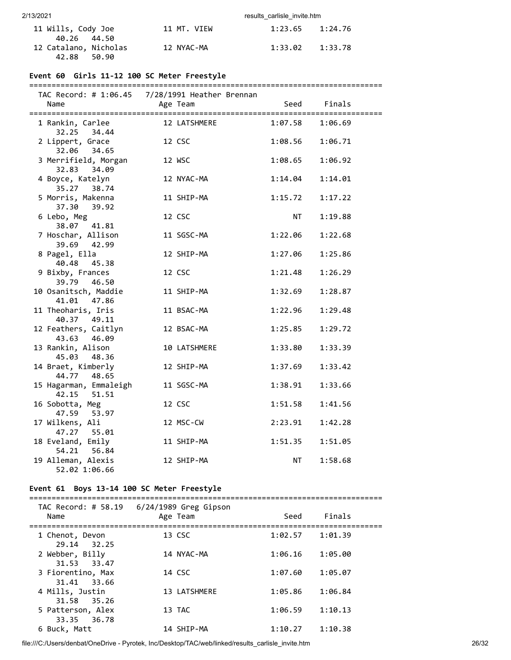| 11 Wills, Cody Joe                                  |  | 11 MT. VIEW | $1:23.65$ $1:24.76$ |  |
|-----------------------------------------------------|--|-------------|---------------------|--|
| 40.26 44.50<br>12 Catalano, Nicholas<br>42.88 50.90 |  | 12 NYAC-MA  | $1:33.02$ $1:33.78$ |  |

### **Event 60 Girls 11-12 100 SC Meter Freestyle**

#### ===============================================================================

| TAC Record: # 1:06.45                  | 7/28/1991 Heather Brennan |           |                     |
|----------------------------------------|---------------------------|-----------|---------------------|
| Name                                   | Age Team                  | Seed      | Finals<br>========= |
| 1 Rankin, Carlee<br>32.25 34.44        | 12 LATSHMERE              | 1:07.58   | 1:06.69             |
| 2 Lippert, Grace<br>32.06 34.65        | 12 CSC                    | 1:08.56   | 1:06.71             |
| 3 Merrifield, Morgan<br>34.09<br>32.83 | 12 WSC                    | 1:08.65   | 1:06.92             |
| 4 Boyce, Katelyn<br>35.27 38.74        | 12 NYAC-MA                | 1:14.04   | 1:14.01             |
| 5 Morris, Makenna<br>37.30 39.92       | 11 SHIP-MA                | 1:15.72   | 1:17.22             |
| 6 Lebo, Meg<br>38.07 41.81             | 12 CSC                    | NT        | 1:19.88             |
| 7 Hoschar, Allison<br>39.69 42.99      | 11 SGSC-MA                | 1:22.06   | 1:22.68             |
| 8 Pagel, Ella<br>40.48<br>45.38        | 12 SHIP-MA                | 1:27.06   | 1:25.86             |
| 9 Bixby, Frances<br>39.79 46.50        | 12 CSC                    | 1:21.48   | 1:26.29             |
| 10 Osanitsch, Maddie<br>41.01<br>47.86 | 11 SHIP-MA                | 1:32.69   | 1:28.87             |
| 11 Theoharis, Iris<br>40.37 49.11      | 11 BSAC-MA                | 1:22.96   | 1:29.48             |
| 12 Feathers, Caitlyn<br>43.63 46.09    | 12 BSAC-MA                | 1:25.85   | 1:29.72             |
| 13 Rankin, Alison<br>45.03 48.36       | 10 LATSHMERE              | 1:33.80   | 1:33.39             |
| 14 Braet, Kimberly<br>44.77 48.65      | 12 SHIP-MA                | 1:37.69   | 1:33.42             |
| 15 Hagarman, Emmaleigh<br>42.15 51.51  | 11 SGSC-MA                | 1:38.91   | 1:33.66             |
| 16 Sobotta, Meg<br>47.59 53.97         | 12 CSC                    | 1:51.58   | 1:41.56             |
| 17 Wilkens, Ali<br>47.27 55.01         | 12 MSC-CW                 | 2:23.91   | 1:42.28             |
| 18 Eveland, Emily<br>54.21<br>56.84    | 11 SHIP-MA                | 1:51.35   | 1:51.05             |
| 19 Alleman, Alexis<br>52.02 1:06.66    | 12 SHIP-MA                | <b>NT</b> | 1:58.68             |

#### **Event 61 Boys 13-14 100 SC Meter Freestyle**

| TAC Record: # 58.19<br>Name                                                                                                               | 6/24/1989 Greg Gipson<br>Age Team    | Seed                          | Finals                        |  |
|-------------------------------------------------------------------------------------------------------------------------------------------|--------------------------------------|-------------------------------|-------------------------------|--|
|                                                                                                                                           |                                      |                               |                               |  |
| 1 Chenot, Devon                                                                                                                           | 13 CSC                               | 1:02.57                       | 1:01.39                       |  |
|                                                                                                                                           |                                      |                               |                               |  |
|                                                                                                                                           |                                      |                               |                               |  |
|                                                                                                                                           |                                      |                               |                               |  |
|                                                                                                                                           |                                      |                               |                               |  |
|                                                                                                                                           | 14 CSC                               | 1:07.60                       | 1:05.07                       |  |
| 31.41 33.66                                                                                                                               |                                      |                               |                               |  |
|                                                                                                                                           |                                      |                               |                               |  |
|                                                                                                                                           |                                      |                               |                               |  |
|                                                                                                                                           |                                      |                               |                               |  |
|                                                                                                                                           |                                      |                               |                               |  |
| 33.35 36.78                                                                                                                               |                                      |                               |                               |  |
|                                                                                                                                           | 14 SHIP-MA                           | 1:10.27                       | 1:10.38                       |  |
| 29.14 32.25<br>2 Webber, Billy<br>31.53 33.47<br>3 Fiorentino, Max<br>4 Mills, Justin<br>31.58 35.26<br>5 Patterson, Alex<br>6 Buck, Matt | 14 NYAC-MA<br>13 LATSHMERE<br>13 TAC | 1:06.16<br>1:05.86<br>1:06.59 | 1:05.00<br>1:06.84<br>1:10.13 |  |

file:///C:/Users/denbat/OneDrive - Pyrotek, Inc/Desktop/TAC/web/linked/results\_carlisle\_invite.htm 26/32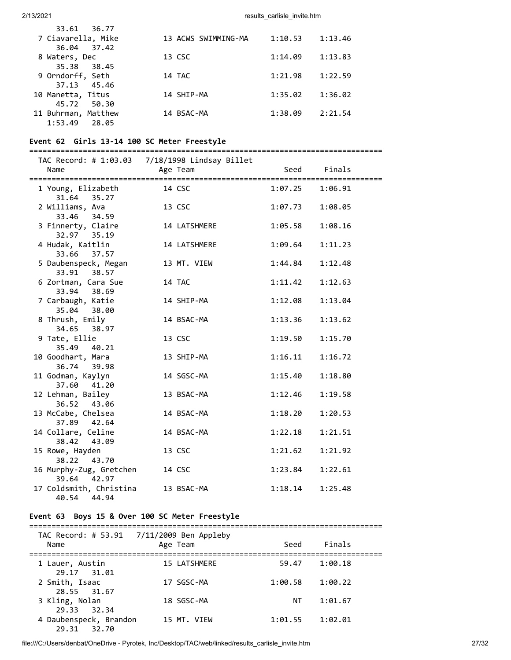| 36.77<br>33.61      |                     |         |         |
|---------------------|---------------------|---------|---------|
| 7 Ciavarella, Mike  | 13 ACWS SWIMMING-MA | 1:10.53 | 1:13.46 |
| 36.04 37.42         |                     |         |         |
| 8 Waters, Dec       | 13 CSC              | 1:14.09 | 1:13.83 |
| 35.38 38.45         |                     |         |         |
| 9 Orndorff, Seth    | 14 TAC              | 1:21.98 | 1:22.59 |
| 37.13 45.46         |                     |         |         |
| 10 Manetta, Titus   | 14 SHIP-MA          | 1:35.02 | 1:36.02 |
| 45.72<br>50.30      |                     |         |         |
| 11 Buhrman, Matthew | 14 BSAC-MA          | 1:38.09 | 2:21.54 |
| 1:53.49<br>28.05    |                     |         |         |

### **Event 62 Girls 13-14 100 SC Meter Freestyle**

| Name                                      | Age Team     | Seed    | Finals<br>========= |
|-------------------------------------------|--------------|---------|---------------------|
| 1 Young, Elizabeth<br>31.64 35.27         | 14 CSC       | 1:07.25 | 1:06.91             |
| 2 Williams, Ava<br>33.46 34.59            | 13 CSC       | 1:07.73 | 1:08.05             |
| 3 Finnerty, Claire<br>32.97 35.19         | 14 LATSHMERE | 1:05.58 | 1:08.16             |
| 4 Hudak, Kaitlin<br>33.66 37.57           | 14 LATSHMERE | 1:09.64 | 1:11.23             |
| 5 Daubenspeck, Megan<br>33.91 38.57       | 13 MT. VIEW  | 1:44.84 | 1:12.48             |
| 6 Zortman, Cara Sue<br>33.94 38.69        | 14 TAC       | 1:11.42 | 1:12.63             |
| 7 Carbaugh, Katie<br>35.04 38.00          | 14 SHIP-MA   | 1:12.08 | 1:13.04             |
| 8 Thrush, Emily<br>34.65 38.97            | 14 BSAC-MA   | 1:13.36 | 1:13.62             |
| 9 Tate, Ellie<br>35.49 40.21              | 13 CSC       | 1:19.50 | 1:15.70             |
| 10 Goodhart, Mara<br>36.74 39.98          | 13 SHIP-MA   | 1:16.11 | 1:16.72             |
| 11 Godman, Kaylyn<br>37.60 41.20          | 14 SGSC-MA   | 1:15.40 | 1:18.80             |
| 12 Lehman, Bailey<br>36.52 43.06          | 13 BSAC-MA   | 1:12.46 | 1:19.58             |
| 13 McCabe, Chelsea<br>37.89 42.64         | 14 BSAC-MA   | 1:18.20 | 1:20.53             |
| 14 Collare, Celine<br>38.42 43.09         | 14 BSAC-MA   | 1:22.18 | 1:21.51             |
| 15 Rowe, Hayden<br>38.22 43.70            | 13 CSC       | 1:21.62 | 1:21.92             |
| 16 Murphy-Zug, Gretchen<br>39.64 42.97    | 14 CSC       | 1:23.84 | 1:22.61             |
| 17 Coldsmith, Christina<br>40.54<br>44.94 | 13 BSAC-MA   | 1:18.14 | 1:25.48             |

#### **Event 63 Boys 15 & Over 100 SC Meter Freestyle**

#### =============================================================================== TAC Record: # 53.91 7/11/2009 Ben Appleby

| Name                                  | TAC RECORD: $\pi$ JJ.JL $\pi$ //11/2009 Defi Appleby<br>Age Team | Seed    | Finals  |  |
|---------------------------------------|------------------------------------------------------------------|---------|---------|--|
| 1 Lauer, Austin<br>29.17 31.01        | 15 LATSHMERE                                                     | 59.47   | 1:00.18 |  |
| 2 Smith, Isaac<br>28.55 31.67         | 17 SGSC-MA                                                       | 1:00.58 | 1:00.22 |  |
| 3 Kling, Nolan<br>29.33 32.34         | 18 SGSC-MA                                                       | ΝT      | 1:01.67 |  |
| 4 Daubenspeck, Brandon<br>29.31 32.70 | 15 MT. VIEW                                                      | 1:01.55 | 1:02.01 |  |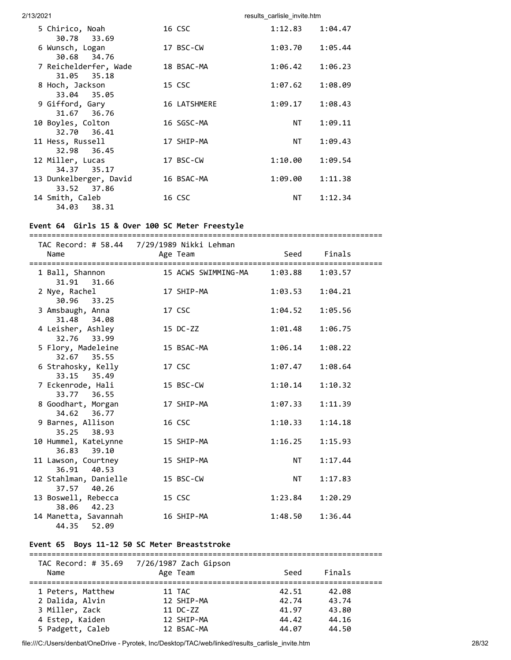| 2/13/2021<br>results carlisle invite.htm |              |                    |  |
|------------------------------------------|--------------|--------------------|--|
| 5 Chirico, Noah<br>30.78 33.69           | 16 CSC       | 1:12.83<br>1:04.47 |  |
| 6 Wunsch, Logan<br>30.68 34.76           | 17 BSC-CW    | 1:05.44<br>1:03.70 |  |
| 7 Reichelderfer, Wade<br>31.05 35.18     | 18 BSAC-MA   | 1:06.42<br>1:06.23 |  |
| 8 Hoch, Jackson<br>33.04 35.05           | 15 CSC       | 1:07.62<br>1:08.09 |  |
| 9 Gifford, Gary<br>31.67 36.76           | 16 LATSHMERE | 1:09.17<br>1:08.43 |  |
| 10 Boyles, Colton<br>32.70 36.41         | 16 SGSC-MA   | NT.<br>1:09.11     |  |
| 11 Hess, Russell<br>32.98 36.45          | 17 SHIP-MA   | NT<br>1:09.43      |  |
| 12 Miller, Lucas<br>34.37 35.17          | 17 BSC-CW    | 1:10.00<br>1:09.54 |  |
| 13 Dunkelberger, David<br>33.52 37.86    | 16 BSAC-MA   | 1:09.00<br>1:11.38 |  |
| 14 Smith, Caleb<br>34.03 38.31           | 16 CSC       | NT<br>1:12.34      |  |

# **Event 64 Girls 15 & Over 100 SC Meter Freestyle**

| ;=================================                 |            | =================   |             |         |
|----------------------------------------------------|------------|---------------------|-------------|---------|
| TAC Record: # 58.44 7/29/1989 Nikki Lehman<br>Name | Age Team   |                     | Seed Finals |         |
| 1 Ball, Shannon<br>31.91 31.66                     |            | 15 ACWS SWIMMING-MA | 1:03.88     | 1:03.57 |
| 2 Nye, Rachel<br>30.96 33.25                       |            | 17 SHIP-MA          | 1:03.53     | 1:04.21 |
| 3 Amsbaugh, Anna<br>31.48 34.08                    | 17 CSC     |                     | 1:04.52     | 1:05.56 |
| 4 Leisher, Ashley<br>32.76 33.99                   | 15 DC-ZZ   |                     | 1:01.48     | 1:06.75 |
| 5 Flory, Madeleine<br>32.67 35.55                  | 15 BSAC-MA |                     | 1:06.14     | 1:08.22 |
| 6 Strahosky, Kelly<br>33.15 35.49                  | 17 CSC     |                     | 1:07.47     | 1:08.64 |
| 7 Eckenrode, Hali<br>33.77 36.55                   | 15 BSC-CW  |                     | 1:10.14     | 1:10.32 |
| 8 Goodhart, Morgan<br>34.62 36.77                  | 17 SHIP-MA |                     | 1:07.33     | 1:11.39 |
| 9 Barnes, Allison<br>35.25 38.93                   | 16 CSC     |                     | 1:10.33     | 1:14.18 |
| 10 Hummel, KateLynne<br>36.83 39.10                | 15 SHIP-MA |                     | 1:16.25     | 1:15.93 |
| 11 Lawson, Courtney<br>36.91 40.53                 | 15 SHIP-MA |                     | <b>NT</b>   | 1:17.44 |
| 12 Stahlman, Danielle<br>37.57 40.26               | 15 BSC-CW  |                     | <b>NT</b>   | 1:17.83 |
| 13 Boswell, Rebecca<br>38.06 42.23                 | 15 CSC     |                     | 1:23.84     | 1:20.29 |
| 14 Manetta, Savannah<br>44.35 52.09                | 16 SHIP-MA |                     | 1:48.50     | 1:36.44 |

# **Event 65 Boys 11-12 50 SC Meter Breaststroke**

| TAC Record: # 35.69 | 7/26/1987 Zach Gipson |       |        |
|---------------------|-----------------------|-------|--------|
| Name                | Age Team              | Seed  | Finals |
|                     |                       |       |        |
| 1 Peters, Matthew   | 11 TAC                | 42.51 | 42.08  |
| 2 Dalida, Alvin     | 12 SHIP-MA            | 42.74 | 43.74  |
| 3 Miller, Zack      | 11 DC-ZZ              | 41.97 | 43.80  |
| 4 Estep, Kaiden     | 12 SHIP-MA            | 44.42 | 44.16  |
| 5 Padgett, Caleb    | 12 BSAC-MA            | 44.07 | 44.50  |

file:///C:/Users/denbat/OneDrive - Pyrotek, Inc/Desktop/TAC/web/linked/results\_carlisle\_invite.htm 28/32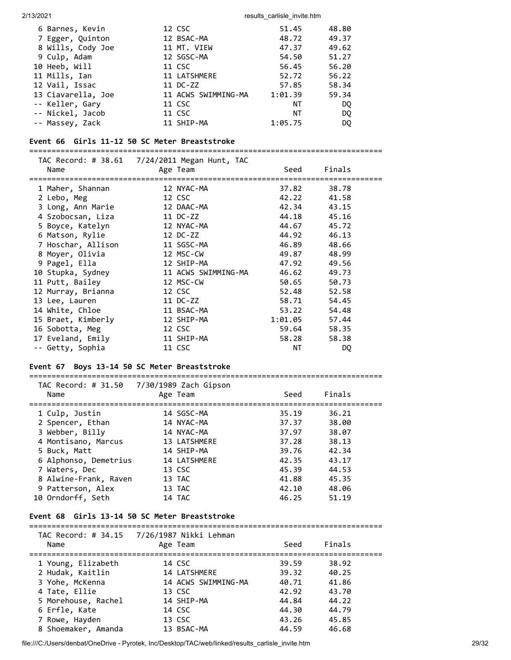| 6 Barnes, Kevin    | 12 CSC              | 51.45   | 48.80 |
|--------------------|---------------------|---------|-------|
| 7 Egger, Quinton   | 12 BSAC-MA          | 48.72   | 49.37 |
| 8 Wills, Cody Joe  | 11 MT. VIEW         | 47.37   | 49.62 |
| 9 Culp, Adam       | 12 SGSC-MA          | 54.50   | 51.27 |
| 10 Heeb, Will      | 11 CSC              | 56.45   | 56.20 |
| 11 Mills, Ian      | 11 LATSHMERE        | 52.72   | 56.22 |
| 12 Vail, Issac     | 11 DC-ZZ            | 57.85   | 58.34 |
| 13 Ciavarella, Joe | 11 ACWS SWIMMING-MA | 1:01.39 | 59.34 |
| -- Keller, Gary    | 11 CSC              | NΤ      | DO.   |
| -- Nickel, Jacob   | 11 CSC              | ΝT      | DQ.   |
| -- Massey, Zack    | 11 SHIP-MA          | 1:05.75 | DQ.   |

#### **Event 66 Girls 11-12 50 SC Meter Breaststroke**

=============================================================================== TAC Record: # 38.61 7/24/2011 Megan Hunt, TAC Name Age Team Seed Finals =============================================================================== 1 Maher, Shannan 12 NYAC-MA 37.82 38.78 2 Lebo, Meg 12 CSC 42.22 41.58 3 Long, Ann Marie 12 DAAC-MA 42.34 43.15 4 Szobocsan, Liza 11 DC-ZZ 44.18 45.16 5 Boyce, Katelyn 12 NYAC-MA 44.67 45.72 6 Matson, Rylie 12 DC-ZZ 44.92 46.13 7 Hoschar, Allison 11 SGSC-MA 46.89 48.66 8 Moyer, Olivia 12 MSC-CW 49.87 48.99 9 Pagel, Ella 12 SHIP-MA 47.92 49.56 10 Stupka, Sydney 11 ACWS SWIMMING-MA 46.62 49.73 11 Putt, Bailey 12 MSC-CW 50.65 50.73 12 Murray, Brianna 12 CSC 52.48 52.58 13 Lee, Lauren 11 DC-ZZ 58.71 54.45 14 White, Chloe 11 BSAC-MA 53.22 54.48 15 Braet, Kimberly 12 SHIP-MA 1:01.05 57.44 16 Sobotta, Meg 12 CSC 59.64 58.35 17 Eveland, Emily 11 SHIP-MA 58.28 58.38 -- Getty, Sophia 11 CSC NT DQ

#### **Event 67 Boys 13-14 50 SC Meter Breaststroke**

#### **Event 68 Girls 13-14 50 SC Meter Breaststroke**

#### =============================================================================== TAC Record: # 34.15 7/26/1987 Nikki Lehman

| Name                | IAC NECULU. # 54.15 772071907 NIKKI LEHMIRII<br>Age Team | Seed  | Finals |  |
|---------------------|----------------------------------------------------------|-------|--------|--|
| 1 Young, Elizabeth  | 14 CSC                                                   | 39.59 | 38.92  |  |
| 2 Hudak, Kaitlin    | 14 LATSHMERE                                             | 39.32 | 40.25  |  |
| 3 Yohe, McKenna     | 14 ACWS SWIMMING-MA                                      | 40.71 | 41.86  |  |
| 4 Tate, Ellie       | 13 CSC                                                   | 42.92 | 43.70  |  |
| 5 Morehouse, Rachel | 14 SHIP-MA                                               | 44.84 | 44.22  |  |
| 6 Erfle, Kate       | 14 CSC                                                   | 44.30 | 44.79  |  |
| 7 Rowe, Hayden      | 13 CSC                                                   | 43.26 | 45.85  |  |
| 8 Shoemaker, Amanda | 13 BSAC-MA                                               | 44.59 | 46.68  |  |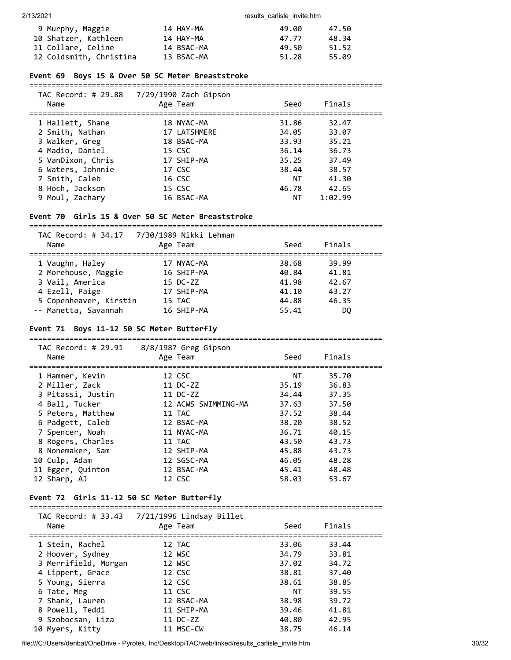| 9 Murphy, Maggie        | 14 HAY-MA  | 49.00 | 47.50 |
|-------------------------|------------|-------|-------|
| 10 Shatzer, Kathleen    | 14 HAY-MA  | 47.77 | 48.34 |
| 11 Collare, Celine      | 14 BSAC-MA | 49.50 | 51.52 |
| 12 Coldsmith, Christina | 13 BSAC-MA | 51.28 | 55.09 |

#### **Event 69 Boys 15 & Over 50 SC Meter Breaststroke**

===============================================================================

| TAC Record: # 29.88<br>Name | 7/29/1990 Zach Gipson<br>Age Team | Seed  | Finals  |  |
|-----------------------------|-----------------------------------|-------|---------|--|
| 1 Hallett, Shane            | 18 NYAC-MA                        | 31.86 | 32.47   |  |
| 2 Smith, Nathan             | 17 LATSHMERE                      | 34.05 | 33.07   |  |
| 3 Walker, Greg              | 18 BSAC-MA                        | 33.93 | 35.21   |  |
| 4 Madio, Daniel             | 15 CSC                            | 36.14 | 36.73   |  |
| 5 VanDixon, Chris           | 17 SHIP-MA                        | 35.25 | 37.49   |  |
| 6 Waters, Johnnie           | 17 CSC                            | 38.44 | 38.57   |  |
| 7 Smith, Caleb              | 16 CSC                            | ΝT    | 41.30   |  |
| 8 Hoch, Jackson             | 15 CSC                            | 46.78 | 42.65   |  |
| 9 Moul, Zachary             | 16 BSAC-MA                        | ΝT    | 1:02.99 |  |

### **Event 70 Girls 15 & Over 50 SC Meter Breaststroke**

===============================================================================  $S$ and: # 34.17

| Name                   | Age Team   | Seed  | Finals |  |
|------------------------|------------|-------|--------|--|
| 1 Vaughn, Haley        | 17 NYAC-MA | 38.68 | 39.99  |  |
| 2 Morehouse, Maggie    | 16 SHIP-MA | 40.84 | 41.81  |  |
| 3 Vail, America        | 15 DC-ZZ   | 41.98 | 42.67  |  |
| 4 Ezell, Paige         | 17 SHIP-MA | 41.10 | 43.27  |  |
| 5 Copenheaver, Kirstin | 15 TAC     | 44.88 | 46.35  |  |
| -- Manetta, Savannah   | 16 SHIP-MA | 55.41 | DO.    |  |
|                        |            |       |        |  |

#### **Event 71 Boys 11-12 50 SC Meter Butterfly**

=============================================================================== TAC Record: # 29.91 8/8/1987 Greg Gipson Name **Age Team** Age Team Seed Finals =============================================================================== 1 Hammer, Kevin 12 CSC NT 35.70 2 Miller, Zack 11 DC-ZZ 35.19 36.83 3 Pitassi, Justin 11 DC-ZZ 34.44 37.35 4 Ball, Tucker 12 ACWS SWIMMING-MA 37.63 37.50 5 Peters, Matthew 11 TAC 37.52 38.44 6 Padgett, Caleb 12 BSAC-MA 38.20 38.52 7 Spencer, Noah 11 NYAC-MA 36.71 40.15 8 Rogers, Charles 11 TAC 43.50 43.73 8 Rogers, Charles 11 TAC 43.50 43.73<br>8 Nonemaker, Sam 12 SHIP-MA 45.88 43.73 10 Culp, Adam 12 SGSC-MA 46.05 48.28 11 Egger, Quinton 12 BSAC-MA 45.41 48.48 12 Sharp, AJ 12 CSC 58.03 53.67

#### **Event 72 Girls 11-12 50 SC Meter Butterfly**

| Name                 | Age Team   | Seed  | Finals |  |
|----------------------|------------|-------|--------|--|
| 1 Stein, Rachel      | 12 TAC     | 33.06 | 33.44  |  |
| 2 Hoover, Sydney     | 12 WSC     | 34.79 | 33.81  |  |
| 3 Merrifield, Morgan | 12 WSC     | 37.02 | 34.72  |  |
| 4 Lippert, Grace     | 12 CSC     | 38.81 | 37.40  |  |
| 5 Young, Sierra      | 12 CSC     | 38.61 | 38.85  |  |
| 6 Tate, Meg          | 11 CSC     | ΝT    | 39.55  |  |
| 7 Shank, Lauren      | 12 BSAC-MA | 38.98 | 39.72  |  |
| 8 Powell, Teddi      | 11 SHIP-MA | 39.46 | 41.81  |  |
| 9 Szobocsan, Liza    | 11 DC-ZZ   | 40.80 | 42.95  |  |
| 10 Myers, Kitty      | 11 MSC-CW  | 38.75 | 46.14  |  |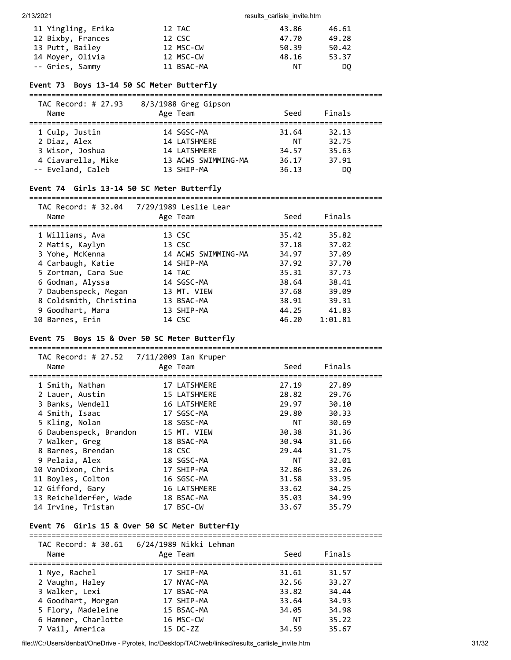| 11 Yingling, Erika | 12 TAC     | 43.86 | 46.61 |
|--------------------|------------|-------|-------|
| 12 Bixby, Frances  | 12 CSC     | 47.70 | 49.28 |
| 13 Putt, Bailey    | 12 MSC-CW  | 50.39 | 50.42 |
| 14 Moyer, Olivia   | 12 MSC-CW  | 48.16 | 53.37 |
| -- Gries, Sammy    | 11 BSAC-MA | ΝT    | DO.   |

### **Event 73 Boys 13-14 50 SC Meter Butterfly**

| TAC Record: # 27.93<br>Name | 8/3/1988 Greg Gipson<br>Age Team | Seed  | Finals |  |
|-----------------------------|----------------------------------|-------|--------|--|
| 1 Culp, Justin              | 14 SGSC-MA                       | 31.64 | 32.13  |  |
| 2 Diaz, Alex                | 14 LATSHMERE                     | NΤ    | 32.75  |  |
| 3 Wisor, Joshua             | 14 LATSHMERE                     | 34.57 | 35.63  |  |
| 4 Ciavarella, Mike          | 13 ACWS SWIMMING-MA              | 36.17 | 37.91  |  |
| -- Eveland, Caleb           | 13 SHIP-MA                       | 36.13 | DO     |  |

#### **Event 74 Girls 13-14 50 SC Meter Butterfly**

#### ===============================================================================

| TAC Record: # 32.04<br>Name | 7/29/1989 Leslie Lear<br>Age Team | Seed  | Finals  |  |
|-----------------------------|-----------------------------------|-------|---------|--|
| 1 Williams, Ava             | 13 CSC                            | 35.42 | 35.82   |  |
| 2 Matis, Kaylyn             | 13 CSC                            | 37.18 | 37.02   |  |
| 3 Yohe, McKenna             | 14 ACWS SWIMMING-MA               | 34.97 | 37.09   |  |
| 4 Carbaugh, Katie           | 14 SHIP-MA                        | 37.92 | 37.70   |  |
| 5 Zortman, Cara Sue         | 14 TAC                            | 35.31 | 37.73   |  |
| 6 Godman, Alyssa            | 14 SGSC-MA                        | 38.64 | 38.41   |  |
| 7 Daubenspeck, Megan        | 13 MT. VIEW                       | 37.68 | 39.09   |  |
| 8 Coldsmith, Christina      | 13 BSAC-MA                        | 38.91 | 39.31   |  |
| 9 Goodhart, Mara            | 13 SHIP-MA                        | 44.25 | 41.83   |  |
| 10 Barnes, Erin             | 14 CSC                            | 46.20 | 1:01.81 |  |

===============================================================================

### **Event 75 Boys 15 & Over 50 SC Meter Butterfly**

| TAC Record: # 27.52 7/11/2009 Ian Kruper<br>Name | Age Team     | Seed      | Finals |
|--------------------------------------------------|--------------|-----------|--------|
| 1 Smith, Nathan                                  | 17 LATSHMERE | 27.19     | 27.89  |
| 2 Lauer, Austin                                  | 15 LATSHMERE | 28.82     | 29.76  |
| 3 Banks, Wendell                                 | 16 LATSHMERE | 29.97     | 30.10  |
| 4 Smith, Isaac                                   | 17 SGSC-MA   | 29.80     | 30.33  |
| 5 Kling, Nolan                                   | 18 SGSC-MA   | NT.       | 30.69  |
| 6 Daubenspeck, Brandon                           | 15 MT. VIEW  | 30.38     | 31.36  |
| 7 Walker, Greg                                   | 18 BSAC-MA   | 30.94     | 31.66  |
| 8 Barnes, Brendan                                | 18 CSC       | 29.44     | 31.75  |
| 9 Pelaia, Alex                                   | 18 SGSC-MA   | <b>NT</b> | 32.01  |
| 10 VanDixon, Chris                               | 17 SHIP-MA   | 32.86     | 33.26  |
| 11 Boyles, Colton                                | 16 SGSC-MA   | 31.58     | 33.95  |
| 12 Gifford, Gary                                 | 16 LATSHMERE | 33.62     | 34.25  |
| 13 Reichelderfer, Wade                           | 18 BSAC-MA   | 35.03     | 34.99  |
| 14 Irvine, Tristan                               | 17 BSC-CW    | 33.67     | 35.79  |

#### **Event 76 Girls 15 & Over 50 SC Meter Butterfly**

# =============================================================================== TAC Record: # 30.61 6/24/1989 Nikki Lehman

| Name                | Age Team   | Seed  | Finals |  |
|---------------------|------------|-------|--------|--|
| 1 Nye, Rachel       | 17 SHIP-MA | 31.61 | 31.57  |  |
| 2 Vaughn, Haley     | 17 NYAC-MA | 32.56 | 33.27  |  |
| 3 Walker, Lexi      | 17 BSAC-MA | 33.82 | 34.44  |  |
| 4 Goodhart, Morgan  | 17 SHIP-MA | 33.64 | 34.93  |  |
| 5 Flory, Madeleine  | 15 BSAC-MA | 34.05 | 34.98  |  |
| 6 Hammer, Charlotte | 16 MSC-CW  | ΝT    | 35.22  |  |
| 7 Vail, America     | 15 DC-ZZ   | 34.59 | 35.67  |  |